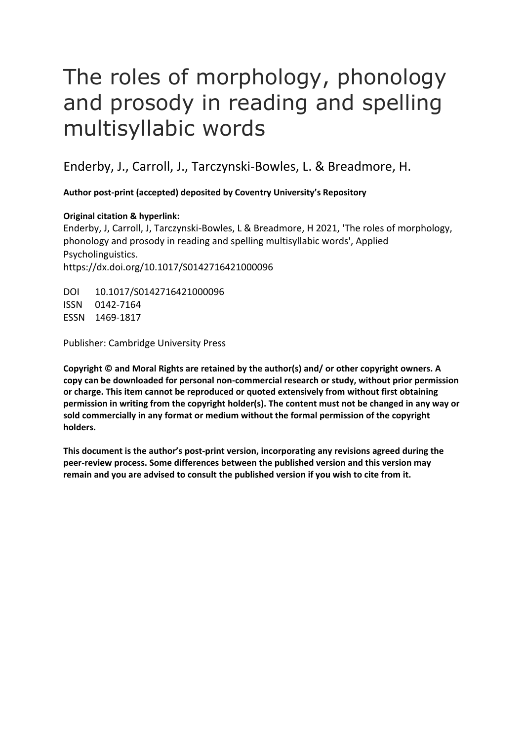# The roles of morphology, phonology and prosody in reading and spelling multisyllabic words

Enderby, J., Carroll, J., Tarczynski-Bowles, L. & Breadmore, H.

**Author post-print (accepted) deposited by Coventry University's Repository**

# **Original citation & hyperlink:**

Enderby, J, Carroll, J, Tarczynski-Bowles, L & Breadmore, H 2021, 'The roles of morphology, phonology and prosody in reading and spelling multisyllabic words', Applied Psycholinguistics. https://dx.doi.org/10.1017/S0142716421000096

DOI 10.1017/S0142716421000096 ISSN 0142-7164 ESSN 1469-1817

Publisher: Cambridge University Press

**Copyright © and Moral Rights are retained by the author(s) and/ or other copyright owners. A copy can be downloaded for personal non-commercial research or study, without prior permission or charge. This item cannot be reproduced or quoted extensively from without first obtaining permission in writing from the copyright holder(s). The content must not be changed in any way or sold commercially in any format or medium without the formal permission of the copyright holders.** 

**This document is the author's post-print version, incorporating any revisions agreed during the peer-review process. Some differences between the published version and this version may remain and you are advised to consult the published version if you wish to cite from it.**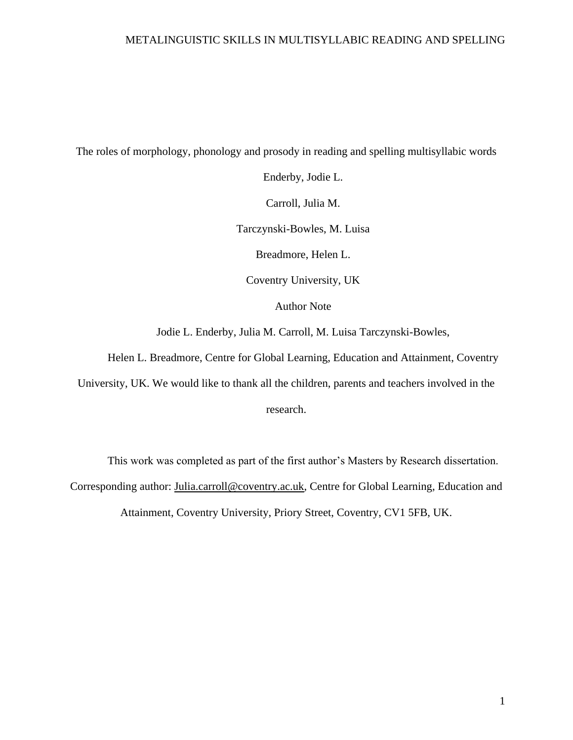The roles of morphology, phonology and prosody in reading and spelling multisyllabic words

Enderby, Jodie L. Carroll, Julia M. Tarczynski-Bowles, M. Luisa Breadmore, Helen L. Coventry University, UK Author Note

Jodie L. Enderby, Julia M. Carroll, M. Luisa Tarczynski-Bowles,

Helen L. Breadmore, Centre for Global Learning, Education and Attainment, Coventry

University, UK. We would like to thank all the children, parents and teachers involved in the research.

This work was completed as part of the first author's Masters by Research dissertation. Corresponding author: [Julia.carroll@coventry.ac.uk,](mailto:Julia.carroll@coventry.ac.uk) Centre for Global Learning, Education and Attainment, Coventry University, Priory Street, Coventry, CV1 5FB, UK.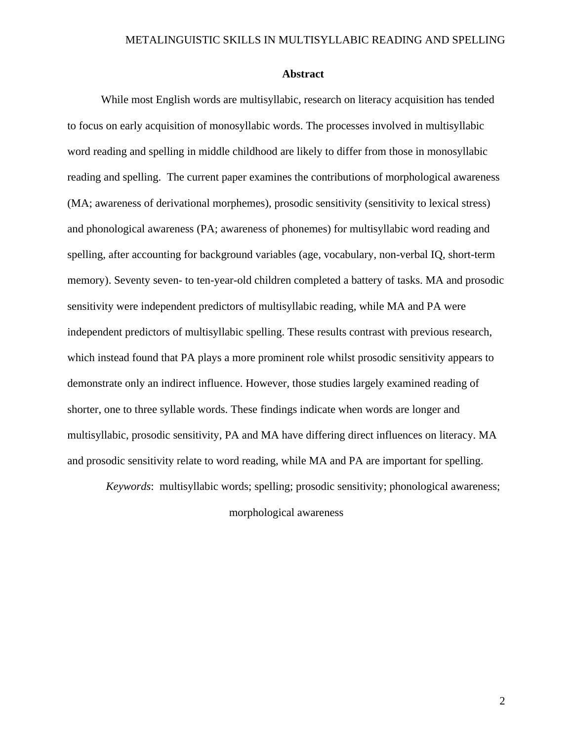### **Abstract**

While most English words are multisyllabic, research on literacy acquisition has tended to focus on early acquisition of monosyllabic words. The processes involved in multisyllabic word reading and spelling in middle childhood are likely to differ from those in monosyllabic reading and spelling. The current paper examines the contributions of morphological awareness (MA; awareness of derivational morphemes), prosodic sensitivity (sensitivity to lexical stress) and phonological awareness (PA; awareness of phonemes) for multisyllabic word reading and spelling, after accounting for background variables (age, vocabulary, non-verbal IQ, short-term memory). Seventy seven- to ten-year-old children completed a battery of tasks. MA and prosodic sensitivity were independent predictors of multisyllabic reading, while MA and PA were independent predictors of multisyllabic spelling. These results contrast with previous research, which instead found that PA plays a more prominent role whilst prosodic sensitivity appears to demonstrate only an indirect influence. However, those studies largely examined reading of shorter, one to three syllable words. These findings indicate when words are longer and multisyllabic, prosodic sensitivity, PA and MA have differing direct influences on literacy. MA and prosodic sensitivity relate to word reading, while MA and PA are important for spelling.

*Keywords*: multisyllabic words; spelling; prosodic sensitivity; phonological awareness; morphological awareness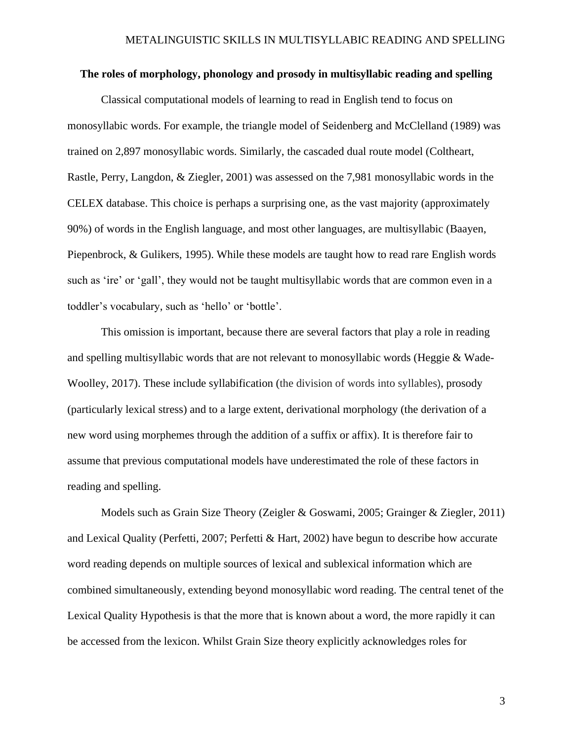# **The roles of morphology, phonology and prosody in multisyllabic reading and spelling**

Classical computational models of learning to read in English tend to focus on monosyllabic words. For example, the triangle model of Seidenberg and McClelland (1989) was trained on 2,897 monosyllabic words. Similarly, the cascaded dual route model (Coltheart, Rastle, Perry, Langdon, & Ziegler, 2001) was assessed on the 7,981 monosyllabic words in the CELEX database. This choice is perhaps a surprising one, as the vast majority (approximately 90%) of words in the English language, and most other languages, are multisyllabic (Baayen, Piepenbrock, & Gulikers, 1995). While these models are taught how to read rare English words such as 'ire' or 'gall', they would not be taught multisyllabic words that are common even in a toddler's vocabulary, such as 'hello' or 'bottle'.

This omission is important, because there are several factors that play a role in reading and spelling multisyllabic words that are not relevant to monosyllabic words (Heggie & Wade-Woolley, 2017). These include syllabification (the division of words into syllables), prosody (particularly lexical stress) and to a large extent, derivational morphology (the derivation of a new word using morphemes through the addition of a suffix or affix). It is therefore fair to assume that previous computational models have underestimated the role of these factors in reading and spelling.

Models such as Grain Size Theory (Zeigler & Goswami, 2005; Grainger & Ziegler, 2011) and Lexical Quality (Perfetti, 2007; Perfetti & Hart, 2002) have begun to describe how accurate word reading depends on multiple sources of lexical and sublexical information which are combined simultaneously, extending beyond monosyllabic word reading. The central tenet of the Lexical Quality Hypothesis is that the more that is known about a word, the more rapidly it can be accessed from the lexicon. Whilst Grain Size theory explicitly acknowledges roles for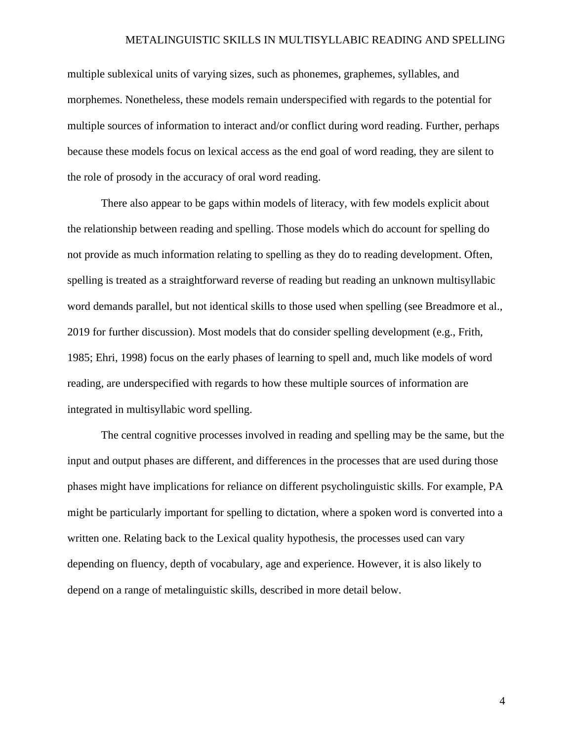multiple sublexical units of varying sizes, such as phonemes, graphemes, syllables, and morphemes. Nonetheless, these models remain underspecified with regards to the potential for multiple sources of information to interact and/or conflict during word reading. Further, perhaps because these models focus on lexical access as the end goal of word reading, they are silent to the role of prosody in the accuracy of oral word reading.

There also appear to be gaps within models of literacy, with few models explicit about the relationship between reading and spelling. Those models which do account for spelling do not provide as much information relating to spelling as they do to reading development. Often, spelling is treated as a straightforward reverse of reading but reading an unknown multisyllabic word demands parallel, but not identical skills to those used when spelling (see Breadmore et al., 2019 for further discussion). Most models that do consider spelling development (e.g., Frith, 1985; Ehri, 1998) focus on the early phases of learning to spell and, much like models of word reading, are underspecified with regards to how these multiple sources of information are integrated in multisyllabic word spelling.

The central cognitive processes involved in reading and spelling may be the same, but the input and output phases are different, and differences in the processes that are used during those phases might have implications for reliance on different psycholinguistic skills. For example, PA might be particularly important for spelling to dictation, where a spoken word is converted into a written one. Relating back to the Lexical quality hypothesis, the processes used can vary depending on fluency, depth of vocabulary, age and experience. However, it is also likely to depend on a range of metalinguistic skills, described in more detail below.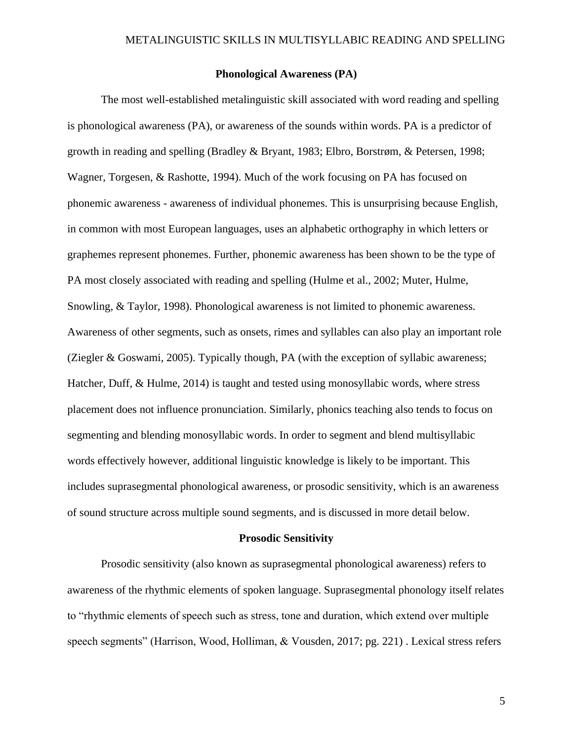# **Phonological Awareness (PA)**

The most well-established metalinguistic skill associated with word reading and spelling is phonological awareness (PA), or awareness of the sounds within words. PA is a predictor of growth in reading and spelling (Bradley & Bryant, 1983; Elbro, Borstrøm, & Petersen, 1998; Wagner, Torgesen, & Rashotte, 1994). Much of the work focusing on PA has focused on phonemic awareness - awareness of individual phonemes. This is unsurprising because English, in common with most European languages, uses an alphabetic orthography in which letters or graphemes represent phonemes. Further, phonemic awareness has been shown to be the type of PA most closely associated with reading and spelling (Hulme et al., 2002; Muter, Hulme, Snowling, & Taylor, 1998). Phonological awareness is not limited to phonemic awareness. Awareness of other segments, such as onsets, rimes and syllables can also play an important role (Ziegler & Goswami, 2005). Typically though, PA (with the exception of syllabic awareness; Hatcher, Duff, & Hulme, 2014) is taught and tested using monosyllabic words, where stress placement does not influence pronunciation. Similarly, phonics teaching also tends to focus on segmenting and blending monosyllabic words. In order to segment and blend multisyllabic words effectively however, additional linguistic knowledge is likely to be important. This includes suprasegmental phonological awareness, or prosodic sensitivity, which is an awareness of sound structure across multiple sound segments, and is discussed in more detail below.

#### **Prosodic Sensitivity**

Prosodic sensitivity (also known as suprasegmental phonological awareness) refers to awareness of the rhythmic elements of spoken language. Suprasegmental phonology itself relates to "rhythmic elements of speech such as stress, tone and duration, which extend over multiple speech segments" (Harrison, Wood, Holliman, & Vousden, 2017; pg. 221) . Lexical stress refers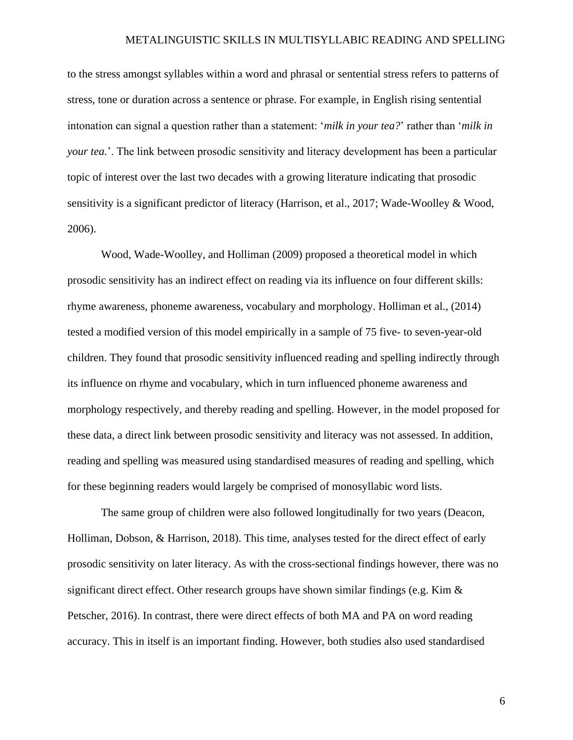to the stress amongst syllables within a word and phrasal or sentential stress refers to patterns of stress, tone or duration across a sentence or phrase. For example, in English rising sentential intonation can signal a question rather than a statement: '*milk in your tea?*' rather than '*milk in your tea.*'. The link between prosodic sensitivity and literacy development has been a particular topic of interest over the last two decades with a growing literature indicating that prosodic sensitivity is a significant predictor of literacy (Harrison, et al., 2017; Wade-Woolley & Wood, 2006).

Wood, Wade-Woolley, and Holliman (2009) proposed a theoretical model in which prosodic sensitivity has an indirect effect on reading via its influence on four different skills: rhyme awareness, phoneme awareness, vocabulary and morphology. Holliman et al., (2014) tested a modified version of this model empirically in a sample of 75 five- to seven-year-old children. They found that prosodic sensitivity influenced reading and spelling indirectly through its influence on rhyme and vocabulary, which in turn influenced phoneme awareness and morphology respectively, and thereby reading and spelling. However, in the model proposed for these data, a direct link between prosodic sensitivity and literacy was not assessed. In addition, reading and spelling was measured using standardised measures of reading and spelling, which for these beginning readers would largely be comprised of monosyllabic word lists.

The same group of children were also followed longitudinally for two years (Deacon, Holliman, Dobson, & Harrison, 2018). This time, analyses tested for the direct effect of early prosodic sensitivity on later literacy. As with the cross-sectional findings however, there was no significant direct effect. Other research groups have shown similar findings (e.g. Kim  $\&$ Petscher, 2016). In contrast, there were direct effects of both MA and PA on word reading accuracy. This in itself is an important finding. However, both studies also used standardised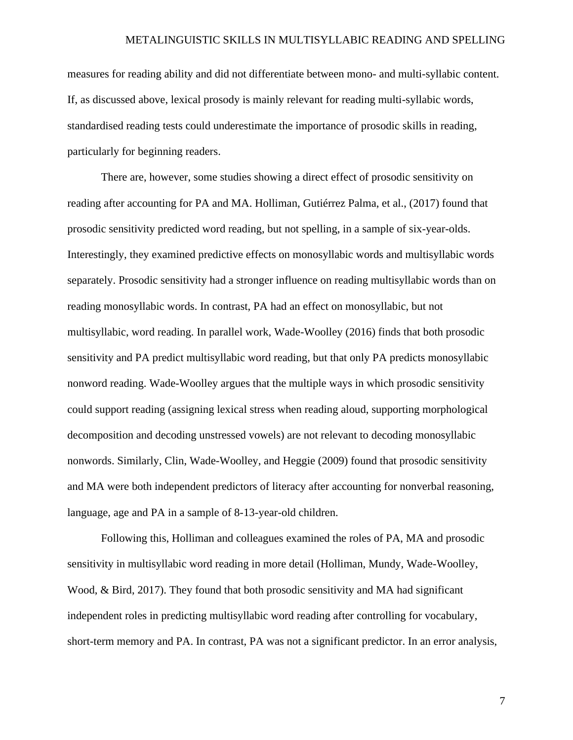measures for reading ability and did not differentiate between mono- and multi-syllabic content. If, as discussed above, lexical prosody is mainly relevant for reading multi-syllabic words, standardised reading tests could underestimate the importance of prosodic skills in reading, particularly for beginning readers.

There are, however, some studies showing a direct effect of prosodic sensitivity on reading after accounting for PA and MA. Holliman, Gutiérrez Palma, et al., (2017) found that prosodic sensitivity predicted word reading, but not spelling, in a sample of six-year-olds. Interestingly, they examined predictive effects on monosyllabic words and multisyllabic words separately. Prosodic sensitivity had a stronger influence on reading multisyllabic words than on reading monosyllabic words. In contrast, PA had an effect on monosyllabic, but not multisyllabic, word reading. In parallel work, Wade-Woolley (2016) finds that both prosodic sensitivity and PA predict multisyllabic word reading, but that only PA predicts monosyllabic nonword reading. Wade-Woolley argues that the multiple ways in which prosodic sensitivity could support reading (assigning lexical stress when reading aloud, supporting morphological decomposition and decoding unstressed vowels) are not relevant to decoding monosyllabic nonwords. Similarly, Clin, Wade-Woolley, and Heggie (2009) found that prosodic sensitivity and MA were both independent predictors of literacy after accounting for nonverbal reasoning, language, age and PA in a sample of 8-13-year-old children.

Following this, Holliman and colleagues examined the roles of PA, MA and prosodic sensitivity in multisyllabic word reading in more detail (Holliman, Mundy, Wade-Woolley, Wood, & Bird, 2017). They found that both prosodic sensitivity and MA had significant independent roles in predicting multisyllabic word reading after controlling for vocabulary, short-term memory and PA. In contrast, PA was not a significant predictor. In an error analysis,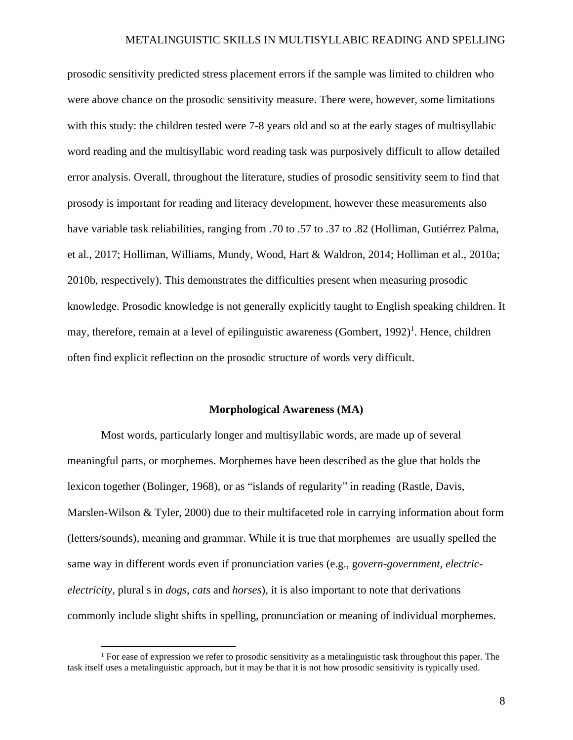prosodic sensitivity predicted stress placement errors if the sample was limited to children who were above chance on the prosodic sensitivity measure. There were, however, some limitations with this study: the children tested were 7-8 years old and so at the early stages of multisyllabic word reading and the multisyllabic word reading task was purposively difficult to allow detailed error analysis. Overall, throughout the literature, studies of prosodic sensitivity seem to find that prosody is important for reading and literacy development, however these measurements also have variable task reliabilities, ranging from .70 to .57 to .37 to .82 (Holliman, Gutiérrez Palma, et al., 2017; Holliman, Williams, Mundy, Wood, Hart & Waldron, 2014; Holliman et al., 2010a; 2010b, respectively). This demonstrates the difficulties present when measuring prosodic knowledge. Prosodic knowledge is not generally explicitly taught to English speaking children. It may, therefore, remain at a level of epilinguistic awareness (Gombert, 1992)<sup>1</sup>. Hence, children often find explicit reflection on the prosodic structure of words very difficult.

#### **Morphological Awareness (MA)**

Most words, particularly longer and multisyllabic words, are made up of several meaningful parts, or morphemes. Morphemes have been described as the glue that holds the lexicon together (Bolinger, 1968), or as "islands of regularity" in reading (Rastle, Davis, Marslen-Wilson & Tyler, 2000) due to their multifaceted role in carrying information about form (letters/sounds), meaning and grammar. While it is true that morphemes are usually spelled the same way in different words even if pronunciation varies (e.g., g*overn-government, electricelectricity*, plural s in *dogs, cats* and *horses*), it is also important to note that derivations commonly include slight shifts in spelling, pronunciation or meaning of individual morphemes.

<sup>&</sup>lt;sup>1</sup> For ease of expression we refer to prosodic sensitivity as a metalinguistic task throughout this paper. The task itself uses a metalinguistic approach, but it may be that it is not how prosodic sensitivity is typically used.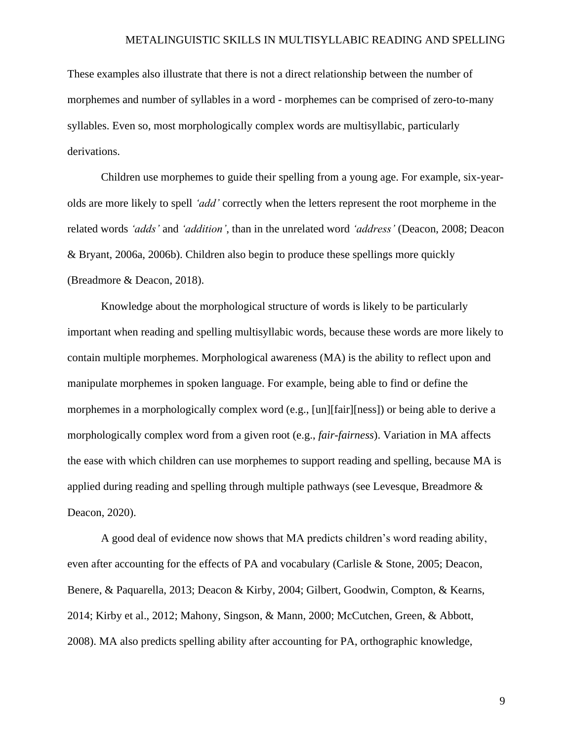These examples also illustrate that there is not a direct relationship between the number of morphemes and number of syllables in a word - morphemes can be comprised of zero-to-many syllables. Even so, most morphologically complex words are multisyllabic, particularly derivations.

Children use morphemes to guide their spelling from a young age. For example, six-yearolds are more likely to spell *'add'* correctly when the letters represent the root morpheme in the related words *'adds'* and *'addition'*, than in the unrelated word *'address'* (Deacon, 2008; Deacon & Bryant, 2006a, 2006b). Children also begin to produce these spellings more quickly (Breadmore & Deacon, 2018).

Knowledge about the morphological structure of words is likely to be particularly important when reading and spelling multisyllabic words, because these words are more likely to contain multiple morphemes. Morphological awareness (MA) is the ability to reflect upon and manipulate morphemes in spoken language. For example, being able to find or define the morphemes in a morphologically complex word (e.g., [un][fair][ness]) or being able to derive a morphologically complex word from a given root (e.g., *fair-fairness*). Variation in MA affects the ease with which children can use morphemes to support reading and spelling, because MA is applied during reading and spelling through multiple pathways (see Levesque, Breadmore & Deacon, 2020).

A good deal of evidence now shows that MA predicts children's word reading ability, even after accounting for the effects of PA and vocabulary (Carlisle & Stone, 2005; Deacon, Benere, & Paquarella, 2013; Deacon & Kirby, 2004; Gilbert, Goodwin, Compton, & Kearns, 2014; Kirby et al., 2012; Mahony, Singson, & Mann, 2000; McCutchen, Green, & Abbott, 2008). MA also predicts spelling ability after accounting for PA, orthographic knowledge,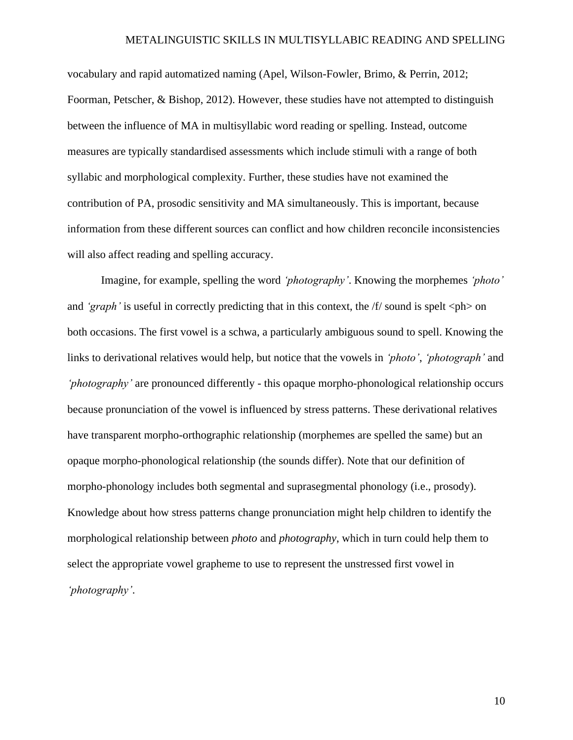vocabulary and rapid automatized naming (Apel, Wilson-Fowler, Brimo, & Perrin, 2012; Foorman, Petscher, & Bishop, 2012). However, these studies have not attempted to distinguish between the influence of MA in multisyllabic word reading or spelling. Instead, outcome measures are typically standardised assessments which include stimuli with a range of both syllabic and morphological complexity. Further, these studies have not examined the contribution of PA, prosodic sensitivity and MA simultaneously. This is important, because information from these different sources can conflict and how children reconcile inconsistencies will also affect reading and spelling accuracy.

Imagine, for example, spelling the word *'photography'*. Knowing the morphemes *'photo'*  and *'graph'* is useful in correctly predicting that in this context, the  $f/$  sound is spelt  $\langle ph \rangle$  on both occasions. The first vowel is a schwa, a particularly ambiguous sound to spell. Knowing the links to derivational relatives would help, but notice that the vowels in *'photo'*, *'photograph'* and *'photography'* are pronounced differently - this opaque morpho-phonological relationship occurs because pronunciation of the vowel is influenced by stress patterns. These derivational relatives have transparent morpho-orthographic relationship (morphemes are spelled the same) but an opaque morpho-phonological relationship (the sounds differ). Note that our definition of morpho-phonology includes both segmental and suprasegmental phonology (i.e., prosody). Knowledge about how stress patterns change pronunciation might help children to identify the morphological relationship between *photo* and *photography*, which in turn could help them to select the appropriate vowel grapheme to use to represent the unstressed first vowel in *'photography'*.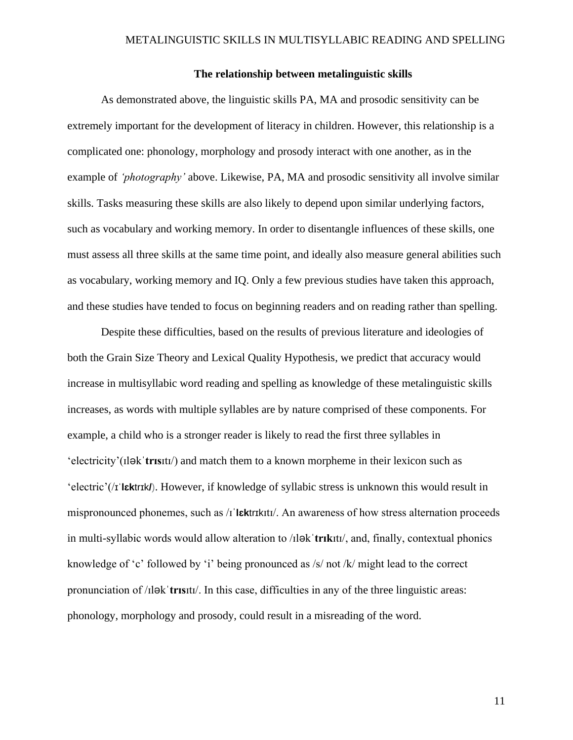# **The relationship between metalinguistic skills**

As demonstrated above, the linguistic skills PA, MA and prosodic sensitivity can be extremely important for the development of literacy in children. However, this relationship is a complicated one: phonology, morphology and prosody interact with one another, as in the example of *'photography'* above. Likewise, PA, MA and prosodic sensitivity all involve similar skills. Tasks measuring these skills are also likely to depend upon similar underlying factors, such as vocabulary and working memory. In order to disentangle influences of these skills, one must assess all three skills at the same time point, and ideally also measure general abilities such as vocabulary, working memory and IQ. Only a few previous studies have taken this approach, and these studies have tended to focus on beginning readers and on reading rather than spelling.

Despite these difficulties, based on the results of previous literature and ideologies of both the Grain Size Theory and Lexical Quality Hypothesis, we predict that accuracy would increase in multisyllabic word reading and spelling as knowledge of these metalinguistic skills increases, as words with multiple syllables are by nature comprised of these components. For example, a child who is a stronger reader is likely to read the first three syllables in 'electricity'(ɪləkˈ**trɪs**ɪtɪ/) and match them to a known morpheme in their lexicon such as 'electric'(/ɪˈ**lɛk**trɪk**/**). However, if knowledge of syllabic stress is unknown this would result in mispronounced phonemes, such as /ɪˈ**lɛk**trɪkɪtɪ/. An awareness of how stress alternation proceeds in multi-syllabic words would allow alteration to /ɪləkˈ**trɪk**ɪtɪ/, and, finally, contextual phonics knowledge of 'c' followed by 'i' being pronounced as /s/ not /k/ might lead to the correct pronunciation of /ɪləkˈ**trɪs**ɪtɪ/. In this case, difficulties in any of the three linguistic areas: phonology, morphology and prosody, could result in a misreading of the word.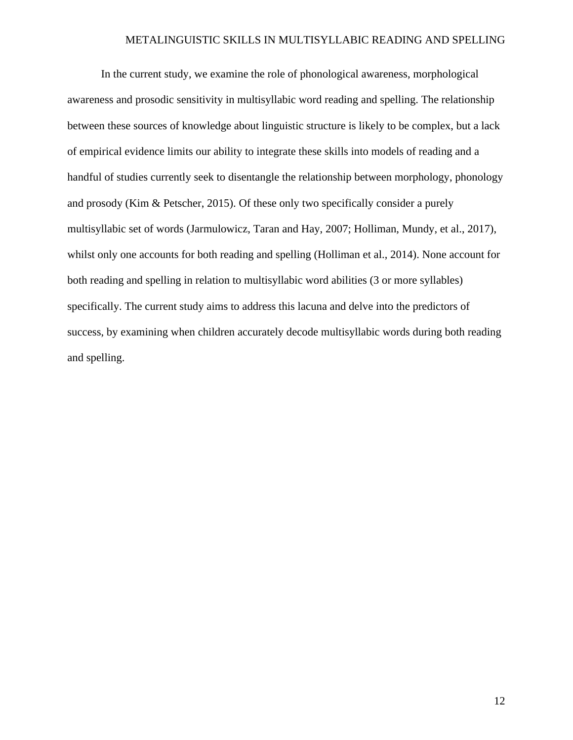In the current study, we examine the role of phonological awareness, morphological awareness and prosodic sensitivity in multisyllabic word reading and spelling. The relationship between these sources of knowledge about linguistic structure is likely to be complex, but a lack of empirical evidence limits our ability to integrate these skills into models of reading and a handful of studies currently seek to disentangle the relationship between morphology, phonology and prosody (Kim & Petscher, 2015). Of these only two specifically consider a purely multisyllabic set of words (Jarmulowicz, Taran and Hay, 2007; Holliman, Mundy, et al., 2017), whilst only one accounts for both reading and spelling (Holliman et al., 2014). None account for both reading and spelling in relation to multisyllabic word abilities (3 or more syllables) specifically. The current study aims to address this lacuna and delve into the predictors of success, by examining when children accurately decode multisyllabic words during both reading and spelling.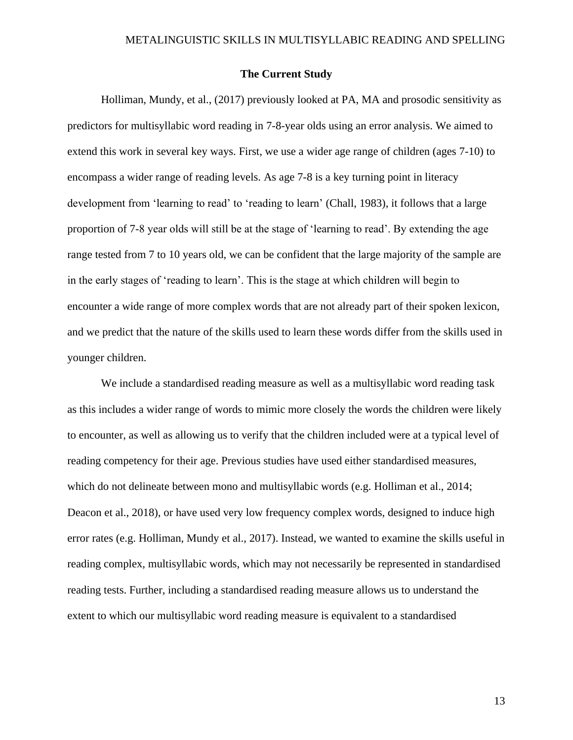# **The Current Study**

Holliman, Mundy, et al., (2017) previously looked at PA, MA and prosodic sensitivity as predictors for multisyllabic word reading in 7-8-year olds using an error analysis. We aimed to extend this work in several key ways. First, we use a wider age range of children (ages 7-10) to encompass a wider range of reading levels. As age 7-8 is a key turning point in literacy development from 'learning to read' to 'reading to learn' (Chall, 1983), it follows that a large proportion of 7-8 year olds will still be at the stage of 'learning to read'. By extending the age range tested from 7 to 10 years old, we can be confident that the large majority of the sample are in the early stages of 'reading to learn'. This is the stage at which children will begin to encounter a wide range of more complex words that are not already part of their spoken lexicon, and we predict that the nature of the skills used to learn these words differ from the skills used in younger children.

We include a standardised reading measure as well as a multisyllabic word reading task as this includes a wider range of words to mimic more closely the words the children were likely to encounter, as well as allowing us to verify that the children included were at a typical level of reading competency for their age. Previous studies have used either standardised measures, which do not delineate between mono and multisyllabic words (e.g. Holliman et al., 2014; Deacon et al., 2018), or have used very low frequency complex words, designed to induce high error rates (e.g. Holliman, Mundy et al., 2017). Instead, we wanted to examine the skills useful in reading complex, multisyllabic words, which may not necessarily be represented in standardised reading tests. Further, including a standardised reading measure allows us to understand the extent to which our multisyllabic word reading measure is equivalent to a standardised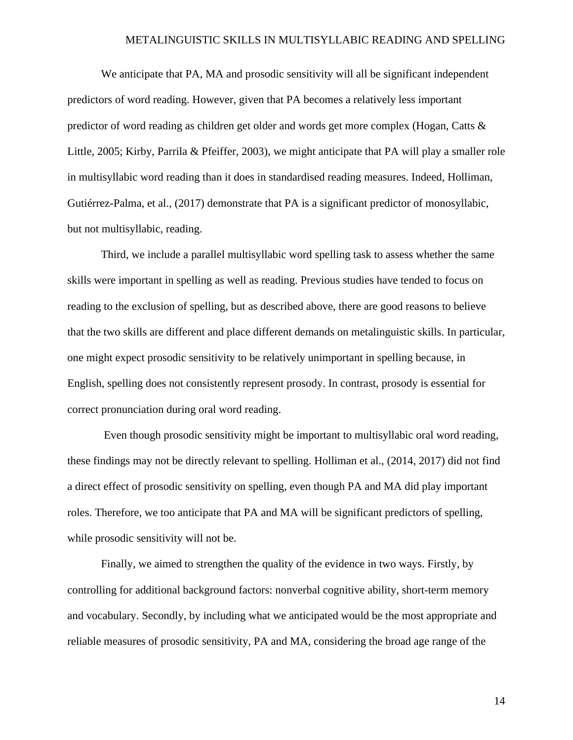We anticipate that PA, MA and prosodic sensitivity will all be significant independent predictors of word reading. However, given that PA becomes a relatively less important predictor of word reading as children get older and words get more complex (Hogan, Catts & Little, 2005; Kirby, Parrila & Pfeiffer, 2003), we might anticipate that PA will play a smaller role in multisyllabic word reading than it does in standardised reading measures. Indeed, Holliman, Gutiérrez-Palma, et al., (2017) demonstrate that PA is a significant predictor of monosyllabic, but not multisyllabic, reading.

Third, we include a parallel multisyllabic word spelling task to assess whether the same skills were important in spelling as well as reading. Previous studies have tended to focus on reading to the exclusion of spelling, but as described above, there are good reasons to believe that the two skills are different and place different demands on metalinguistic skills. In particular, one might expect prosodic sensitivity to be relatively unimportant in spelling because, in English, spelling does not consistently represent prosody. In contrast, prosody is essential for correct pronunciation during oral word reading.

Even though prosodic sensitivity might be important to multisyllabic oral word reading, these findings may not be directly relevant to spelling. Holliman et al., (2014, 2017) did not find a direct effect of prosodic sensitivity on spelling, even though PA and MA did play important roles. Therefore, we too anticipate that PA and MA will be significant predictors of spelling, while prosodic sensitivity will not be.

Finally, we aimed to strengthen the quality of the evidence in two ways. Firstly, by controlling for additional background factors: nonverbal cognitive ability, short-term memory and vocabulary. Secondly, by including what we anticipated would be the most appropriate and reliable measures of prosodic sensitivity, PA and MA, considering the broad age range of the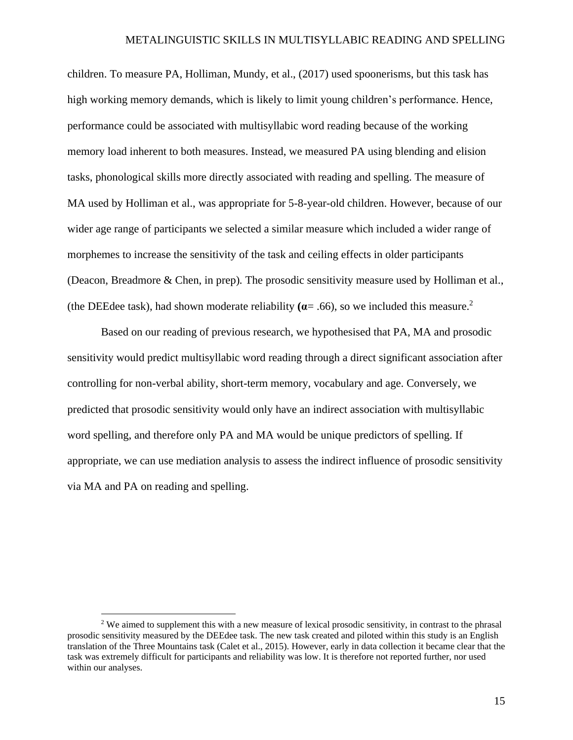children. To measure PA, Holliman, Mundy, et al., (2017) used spoonerisms, but this task has high working memory demands, which is likely to limit young children's performance. Hence, performance could be associated with multisyllabic word reading because of the working memory load inherent to both measures. Instead, we measured PA using blending and elision tasks, phonological skills more directly associated with reading and spelling. The measure of MA used by Holliman et al., was appropriate for 5-8-year-old children. However, because of our wider age range of participants we selected a similar measure which included a wider range of morphemes to increase the sensitivity of the task and ceiling effects in older participants (Deacon, Breadmore & Chen, in prep)*.* The prosodic sensitivity measure used by Holliman et al., (the DEEdee task), had shown moderate reliability  $(a= .66)$ , so we included this measure.<sup>2</sup>

Based on our reading of previous research, we hypothesised that PA, MA and prosodic sensitivity would predict multisyllabic word reading through a direct significant association after controlling for non-verbal ability, short-term memory, vocabulary and age. Conversely, we predicted that prosodic sensitivity would only have an indirect association with multisyllabic word spelling, and therefore only PA and MA would be unique predictors of spelling. If appropriate, we can use mediation analysis to assess the indirect influence of prosodic sensitivity via MA and PA on reading and spelling.

<sup>&</sup>lt;sup>2</sup> We aimed to supplement this with a new measure of lexical prosodic sensitivity, in contrast to the phrasal prosodic sensitivity measured by the DEEdee task. The new task created and piloted within this study is an English translation of the Three Mountains task (Calet et al., 2015). However, early in data collection it became clear that the task was extremely difficult for participants and reliability was low. It is therefore not reported further, nor used within our analyses.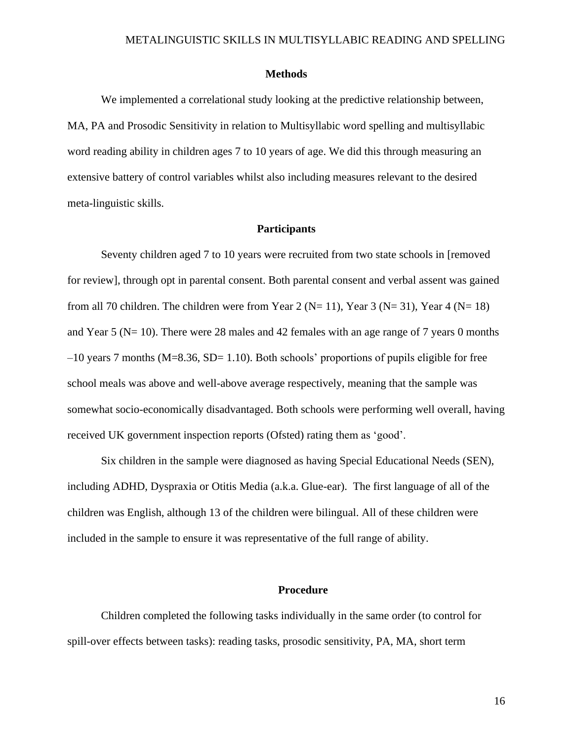## **Methods**

We implemented a correlational study looking at the predictive relationship between, MA, PA and Prosodic Sensitivity in relation to Multisyllabic word spelling and multisyllabic word reading ability in children ages 7 to 10 years of age. We did this through measuring an extensive battery of control variables whilst also including measures relevant to the desired meta-linguistic skills.

# **Participants**

Seventy children aged 7 to 10 years were recruited from two state schools in [removed for review], through opt in parental consent. Both parental consent and verbal assent was gained from all 70 children. The children were from Year 2 (N= 11), Year 3 (N= 31), Year 4 (N= 18) and Year 5 (N= 10). There were 28 males and 42 females with an age range of 7 years 0 months  $-10$  years 7 months (M=8.36, SD= 1.10). Both schools' proportions of pupils eligible for free school meals was above and well-above average respectively, meaning that the sample was somewhat socio-economically disadvantaged. Both schools were performing well overall, having received UK government inspection reports (Ofsted) rating them as 'good'.

Six children in the sample were diagnosed as having Special Educational Needs (SEN), including ADHD, Dyspraxia or Otitis Media (a.k.a. Glue-ear). The first language of all of the children was English, although 13 of the children were bilingual. All of these children were included in the sample to ensure it was representative of the full range of ability.

#### **Procedure**

Children completed the following tasks individually in the same order (to control for spill-over effects between tasks): reading tasks, prosodic sensitivity, PA, MA, short term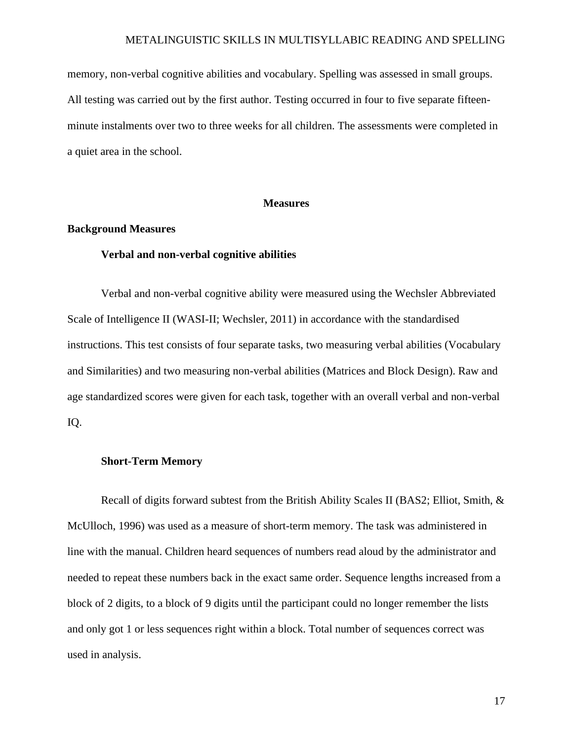memory, non-verbal cognitive abilities and vocabulary. Spelling was assessed in small groups. All testing was carried out by the first author. Testing occurred in four to five separate fifteenminute instalments over two to three weeks for all children. The assessments were completed in a quiet area in the school.

# **Measures**

# **Background Measures**

# **Verbal and non-verbal cognitive abilities**

Verbal and non-verbal cognitive ability were measured using the Wechsler Abbreviated Scale of Intelligence II (WASI-II; Wechsler, 2011) in accordance with the standardised instructions. This test consists of four separate tasks, two measuring verbal abilities (Vocabulary and Similarities) and two measuring non-verbal abilities (Matrices and Block Design). Raw and age standardized scores were given for each task, together with an overall verbal and non-verbal IQ.

# **Short-Term Memory**

Recall of digits forward subtest from the British Ability Scales II (BAS2; Elliot, Smith, & McUlloch, 1996) was used as a measure of short-term memory. The task was administered in line with the manual. Children heard sequences of numbers read aloud by the administrator and needed to repeat these numbers back in the exact same order. Sequence lengths increased from a block of 2 digits, to a block of 9 digits until the participant could no longer remember the lists and only got 1 or less sequences right within a block. Total number of sequences correct was used in analysis.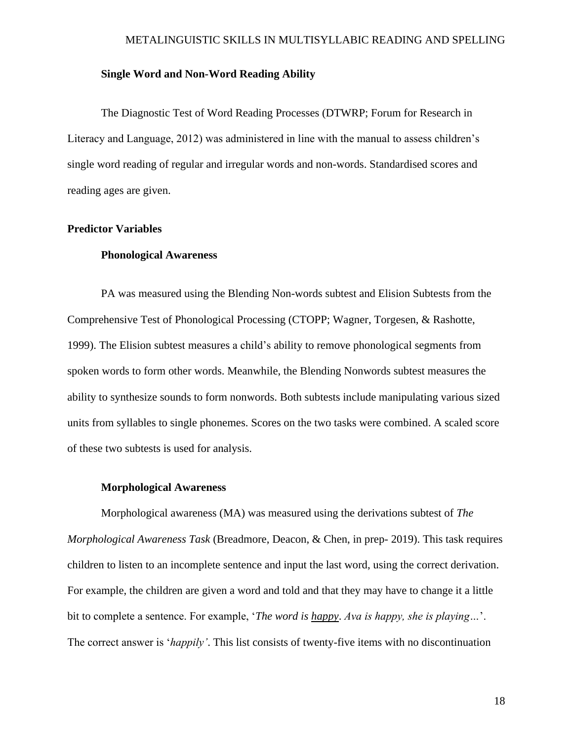# **Single Word and Non-Word Reading Ability**

The Diagnostic Test of Word Reading Processes (DTWRP; Forum for Research in Literacy and Language, 2012) was administered in line with the manual to assess children's single word reading of regular and irregular words and non-words. Standardised scores and reading ages are given.

# **Predictor Variables**

# **Phonological Awareness**

PA was measured using the Blending Non-words subtest and Elision Subtests from the Comprehensive Test of Phonological Processing (CTOPP; Wagner, Torgesen, & Rashotte, 1999). The Elision subtest measures a child's ability to remove phonological segments from spoken words to form other words. Meanwhile, the Blending Nonwords subtest measures the ability to synthesize sounds to form nonwords. Both subtests include manipulating various sized units from syllables to single phonemes. Scores on the two tasks were combined. A scaled score of these two subtests is used for analysis.

### **Morphological Awareness**

Morphological awareness (MA) was measured using the derivations subtest of *The Morphological Awareness Task* (Breadmore, Deacon, & Chen, in prep- 2019). This task requires children to listen to an incomplete sentence and input the last word, using the correct derivation. For example, the children are given a word and told and that they may have to change it a little bit to complete a sentence. For example, '*The word is happy*. *Ava is happy, she is playing…*'. The correct answer is '*happily'*. This list consists of twenty-five items with no discontinuation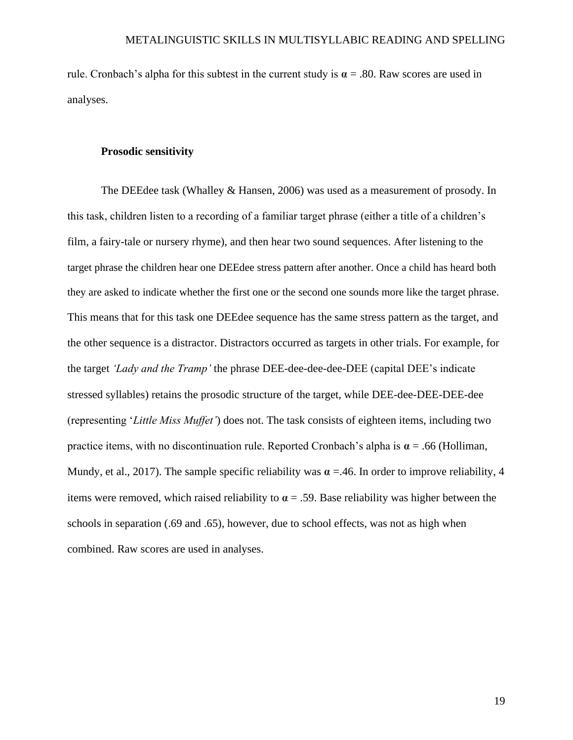rule. Cronbach's alpha for this subtest in the current study is  $\alpha = .80$ . Raw scores are used in analyses.

# **Prosodic sensitivity**

The DEEdee task (Whalley & Hansen, 2006) was used as a measurement of prosody. In this task, children listen to a recording of a familiar target phrase (either a title of a children's film, a fairy-tale or nursery rhyme), and then hear two sound sequences. After listening to the target phrase the children hear one DEEdee stress pattern after another. Once a child has heard both they are asked to indicate whether the first one or the second one sounds more like the target phrase. This means that for this task one DEEdee sequence has the same stress pattern as the target, and the other sequence is a distractor. Distractors occurred as targets in other trials. For example, for the target *'Lady and the Tramp'* the phrase DEE-dee-dee-dee-DEE (capital DEE's indicate stressed syllables) retains the prosodic structure of the target, while DEE-dee-DEE-DEE-dee (representing '*Little Miss Muffet'*) does not. The task consists of eighteen items, including two practice items, with no discontinuation rule. Reported Cronbach's alpha is  $\alpha$  = .66 (Holliman, Mundy, et al., 2017). The sample specific reliability was  $\alpha = 46$ . In order to improve reliability, 4 items were removed, which raised reliability to  $\alpha = 0.59$ . Base reliability was higher between the schools in separation (.69 and .65), however, due to school effects, was not as high when combined. Raw scores are used in analyses.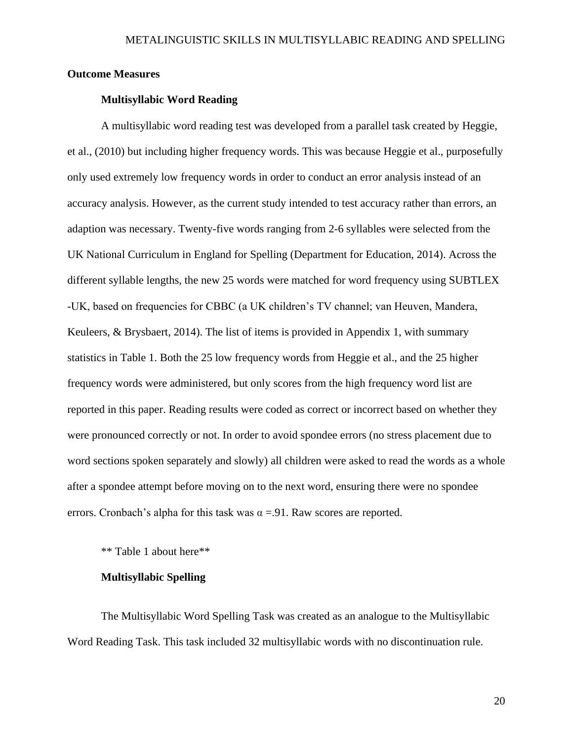# **Outcome Measures**

# **Multisyllabic Word Reading**

A multisyllabic word reading test was developed from a parallel task created by Heggie, et al., (2010) but including higher frequency words. This was because Heggie et al., purposefully only used extremely low frequency words in order to conduct an error analysis instead of an accuracy analysis. However, as the current study intended to test accuracy rather than errors, an adaption was necessary. Twenty-five words ranging from 2-6 syllables were selected from the UK National Curriculum in England for Spelling (Department for Education, 2014). Across the different syllable lengths, the new 25 words were matched for word frequency using SUBTLEX -UK, based on frequencies for CBBC (a UK children's TV channel; van Heuven, Mandera, Keuleers,  $\&$  Brysbaert, 2014). The list of items is provided in Appendix 1, with summary statistics in Table 1. Both the 25 low frequency words from Heggie et al., and the 25 higher frequency words were administered, but only scores from the high frequency word list are reported in this paper. Reading results were coded as correct or incorrect based on whether they were pronounced correctly or not. In order to avoid spondee errors (no stress placement due to word sections spoken separately and slowly) all children were asked to read the words as a whole after a spondee attempt before moving on to the next word, ensuring there were no spondee errors. Cronbach's alpha for this task was  $\alpha = 91$ . Raw scores are reported.

\*\* Table 1 about here\*\*

# **Multisyllabic Spelling**

The Multisyllabic Word Spelling Task was created as an analogue to the Multisyllabic Word Reading Task. This task included 32 multisyllabic words with no discontinuation rule.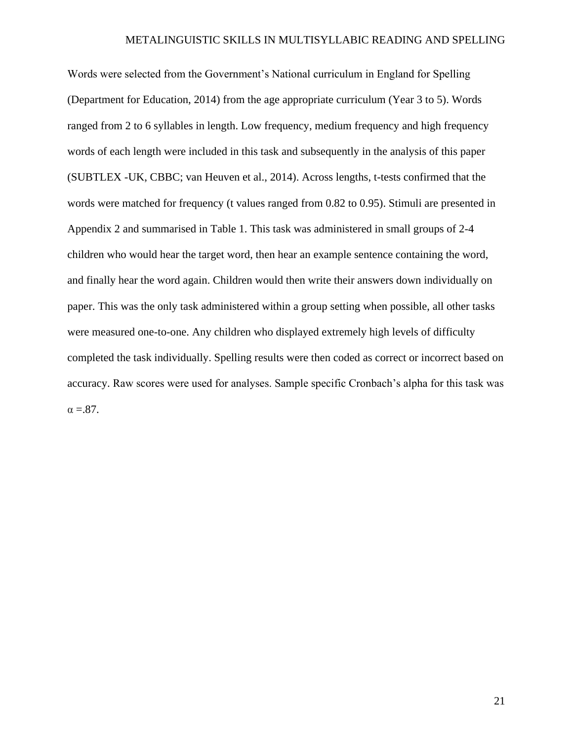Words were selected from the Government's National curriculum in England for Spelling (Department for Education, 2014) from the age appropriate curriculum (Year 3 to 5). Words ranged from 2 to 6 syllables in length. Low frequency, medium frequency and high frequency words of each length were included in this task and subsequently in the analysis of this paper (SUBTLEX -UK, CBBC; van Heuven et al., 2014). Across lengths, t-tests confirmed that the words were matched for frequency (t values ranged from 0.82 to 0.95). Stimuli are presented in Appendix 2 and summarised in Table 1. This task was administered in small groups of 2-4 children who would hear the target word, then hear an example sentence containing the word, and finally hear the word again. Children would then write their answers down individually on paper. This was the only task administered within a group setting when possible, all other tasks were measured one-to-one. Any children who displayed extremely high levels of difficulty completed the task individually. Spelling results were then coded as correct or incorrect based on accuracy. Raw scores were used for analyses. Sample specific Cronbach's alpha for this task was  $\alpha = 87$ .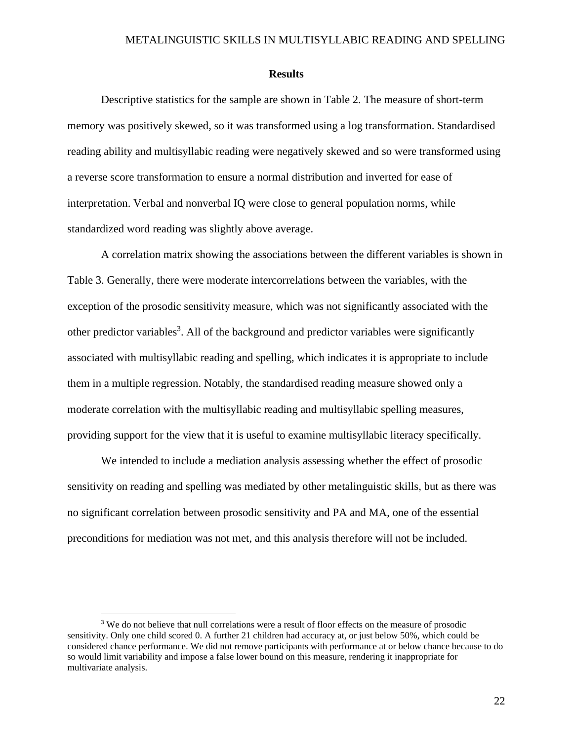### **Results**

Descriptive statistics for the sample are shown in Table 2. The measure of short-term memory was positively skewed, so it was transformed using a log transformation. Standardised reading ability and multisyllabic reading were negatively skewed and so were transformed using a reverse score transformation to ensure a normal distribution and inverted for ease of interpretation. Verbal and nonverbal IQ were close to general population norms, while standardized word reading was slightly above average.

A correlation matrix showing the associations between the different variables is shown in Table 3. Generally, there were moderate intercorrelations between the variables, with the exception of the prosodic sensitivity measure, which was not significantly associated with the other predictor variables<sup>3</sup>. All of the background and predictor variables were significantly associated with multisyllabic reading and spelling, which indicates it is appropriate to include them in a multiple regression. Notably, the standardised reading measure showed only a moderate correlation with the multisyllabic reading and multisyllabic spelling measures, providing support for the view that it is useful to examine multisyllabic literacy specifically.

We intended to include a mediation analysis assessing whether the effect of prosodic sensitivity on reading and spelling was mediated by other metalinguistic skills, but as there was no significant correlation between prosodic sensitivity and PA and MA, one of the essential preconditions for mediation was not met, and this analysis therefore will not be included.

 $3$  We do not believe that null correlations were a result of floor effects on the measure of prosodic sensitivity. Only one child scored 0. A further 21 children had accuracy at, or just below 50%, which could be considered chance performance. We did not remove participants with performance at or below chance because to do so would limit variability and impose a false lower bound on this measure, rendering it inappropriate for multivariate analysis.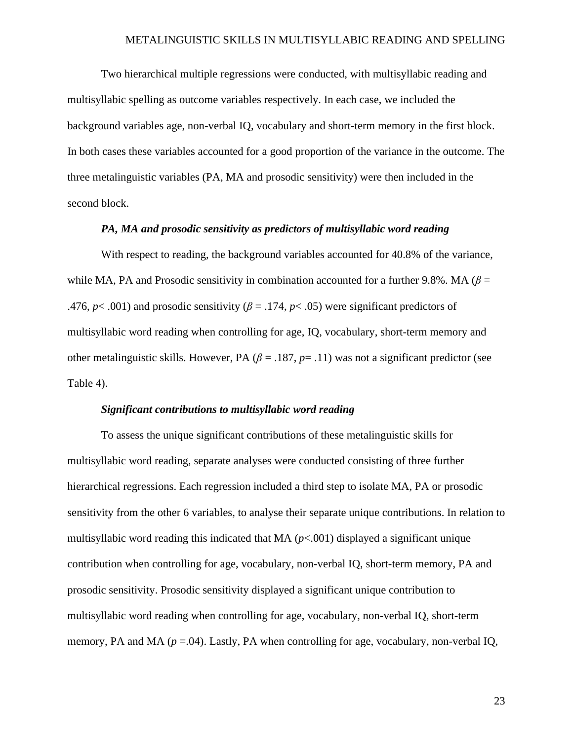Two hierarchical multiple regressions were conducted, with multisyllabic reading and multisyllabic spelling as outcome variables respectively. In each case, we included the background variables age, non-verbal IQ, vocabulary and short-term memory in the first block. In both cases these variables accounted for a good proportion of the variance in the outcome. The three metalinguistic variables (PA, MA and prosodic sensitivity) were then included in the second block.

# *PA, MA and prosodic sensitivity as predictors of multisyllabic word reading*

With respect to reading, the background variables accounted for 40.8% of the variance, while MA, PA and Prosodic sensitivity in combination accounted for a further 9.8%. MA ( $\beta$  = .476,  $p$ < .001) and prosodic sensitivity ( $\beta$  = .174,  $p$ < .05) were significant predictors of multisyllabic word reading when controlling for age, IQ, vocabulary, short-term memory and other metalinguistic skills. However, PA ( $\beta$  = .187,  $p$  = .11) was not a significant predictor (see Table 4).

#### *Significant contributions to multisyllabic word reading*

To assess the unique significant contributions of these metalinguistic skills for multisyllabic word reading, separate analyses were conducted consisting of three further hierarchical regressions. Each regression included a third step to isolate MA, PA or prosodic sensitivity from the other 6 variables, to analyse their separate unique contributions. In relation to multisyllabic word reading this indicated that MA  $(p<.001)$  displayed a significant unique contribution when controlling for age, vocabulary, non-verbal IQ, short-term memory, PA and prosodic sensitivity. Prosodic sensitivity displayed a significant unique contribution to multisyllabic word reading when controlling for age, vocabulary, non-verbal IQ, short-term memory, PA and MA  $(p = .04)$ . Lastly, PA when controlling for age, vocabulary, non-verbal IQ,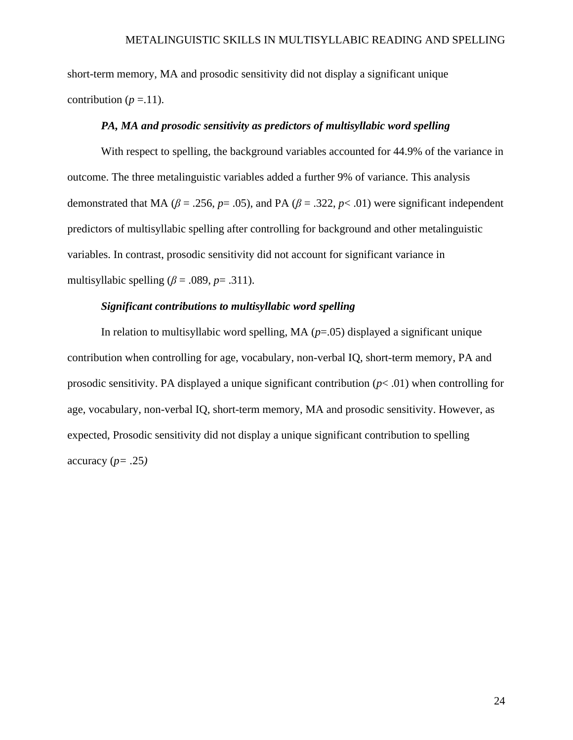short-term memory, MA and prosodic sensitivity did not display a significant unique contribution ( $p = 11$ ).

# *PA, MA and prosodic sensitivity as predictors of multisyllabic word spelling*

With respect to spelling, the background variables accounted for 44.9% of the variance in outcome. The three metalinguistic variables added a further 9% of variance. This analysis demonstrated that MA ( $\beta$  = .256,  $p$  = .05), and PA ( $\beta$  = .322,  $p$  < .01) were significant independent predictors of multisyllabic spelling after controlling for background and other metalinguistic variables. In contrast, prosodic sensitivity did not account for significant variance in multisyllabic spelling  $(\beta = .089, p = .311)$ .

# *Significant contributions to multisyllabic word spelling*

In relation to multisyllabic word spelling, MA  $(p=.05)$  displayed a significant unique contribution when controlling for age, vocabulary, non-verbal IQ, short-term memory, PA and prosodic sensitivity. PA displayed a unique significant contribution  $(p< .01)$  when controlling for age, vocabulary, non-verbal IQ, short-term memory, MA and prosodic sensitivity. However, as expected, Prosodic sensitivity did not display a unique significant contribution to spelling accuracy (*p= .*25*)*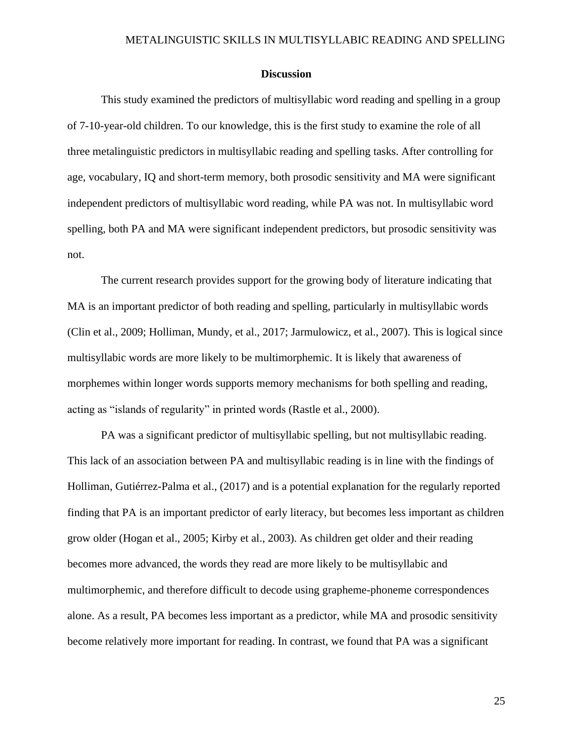# **Discussion**

This study examined the predictors of multisyllabic word reading and spelling in a group of 7-10-year-old children. To our knowledge, this is the first study to examine the role of all three metalinguistic predictors in multisyllabic reading and spelling tasks. After controlling for age, vocabulary, IQ and short-term memory, both prosodic sensitivity and MA were significant independent predictors of multisyllabic word reading, while PA was not. In multisyllabic word spelling, both PA and MA were significant independent predictors, but prosodic sensitivity was not.

The current research provides support for the growing body of literature indicating that MA is an important predictor of both reading and spelling, particularly in multisyllabic words (Clin et al., 2009; Holliman, Mundy, et al., 2017; Jarmulowicz, et al., 2007). This is logical since multisyllabic words are more likely to be multimorphemic. It is likely that awareness of morphemes within longer words supports memory mechanisms for both spelling and reading, acting as "islands of regularity" in printed words (Rastle et al., 2000).

PA was a significant predictor of multisyllabic spelling, but not multisyllabic reading. This lack of an association between PA and multisyllabic reading is in line with the findings of Holliman, Gutiérrez-Palma et al., (2017) and is a potential explanation for the regularly reported finding that PA is an important predictor of early literacy, but becomes less important as children grow older (Hogan et al., 2005; Kirby et al., 2003). As children get older and their reading becomes more advanced, the words they read are more likely to be multisyllabic and multimorphemic, and therefore difficult to decode using grapheme-phoneme correspondences alone. As a result, PA becomes less important as a predictor, while MA and prosodic sensitivity become relatively more important for reading. In contrast, we found that PA was a significant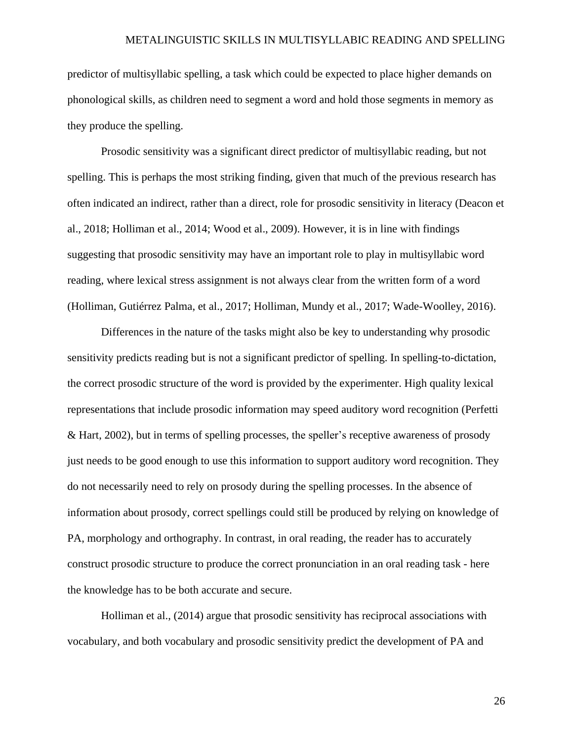predictor of multisyllabic spelling, a task which could be expected to place higher demands on phonological skills, as children need to segment a word and hold those segments in memory as they produce the spelling.

Prosodic sensitivity was a significant direct predictor of multisyllabic reading, but not spelling. This is perhaps the most striking finding, given that much of the previous research has often indicated an indirect, rather than a direct, role for prosodic sensitivity in literacy (Deacon et al., 2018; Holliman et al., 2014; Wood et al., 2009). However, it is in line with findings suggesting that prosodic sensitivity may have an important role to play in multisyllabic word reading, where lexical stress assignment is not always clear from the written form of a word (Holliman, Gutiérrez Palma, et al., 2017; Holliman, Mundy et al., 2017; Wade-Woolley, 2016).

Differences in the nature of the tasks might also be key to understanding why prosodic sensitivity predicts reading but is not a significant predictor of spelling. In spelling-to-dictation, the correct prosodic structure of the word is provided by the experimenter. High quality lexical representations that include prosodic information may speed auditory word recognition (Perfetti & Hart, 2002), but in terms of spelling processes, the speller's receptive awareness of prosody just needs to be good enough to use this information to support auditory word recognition. They do not necessarily need to rely on prosody during the spelling processes. In the absence of information about prosody, correct spellings could still be produced by relying on knowledge of PA, morphology and orthography. In contrast, in oral reading, the reader has to accurately construct prosodic structure to produce the correct pronunciation in an oral reading task - here the knowledge has to be both accurate and secure.

Holliman et al., (2014) argue that prosodic sensitivity has reciprocal associations with vocabulary, and both vocabulary and prosodic sensitivity predict the development of PA and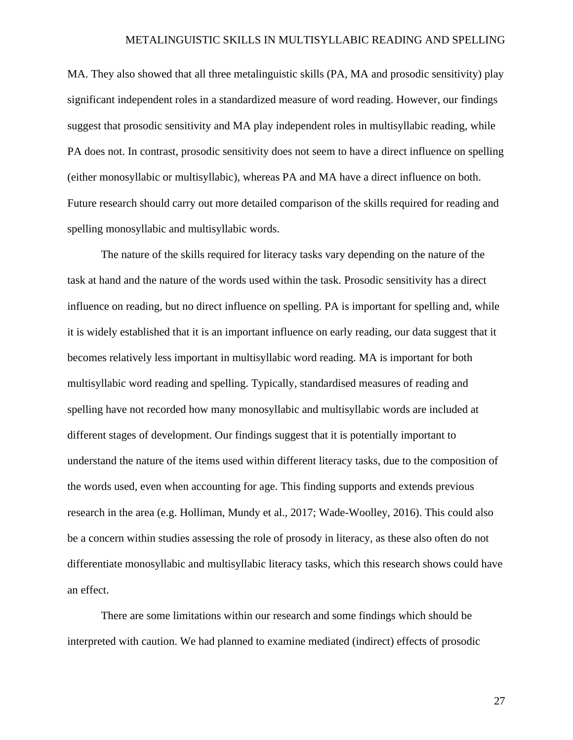MA. They also showed that all three metalinguistic skills (PA, MA and prosodic sensitivity) play significant independent roles in a standardized measure of word reading. However, our findings suggest that prosodic sensitivity and MA play independent roles in multisyllabic reading, while PA does not. In contrast, prosodic sensitivity does not seem to have a direct influence on spelling (either monosyllabic or multisyllabic), whereas PA and MA have a direct influence on both. Future research should carry out more detailed comparison of the skills required for reading and spelling monosyllabic and multisyllabic words.

The nature of the skills required for literacy tasks vary depending on the nature of the task at hand and the nature of the words used within the task. Prosodic sensitivity has a direct influence on reading, but no direct influence on spelling. PA is important for spelling and, while it is widely established that it is an important influence on early reading, our data suggest that it becomes relatively less important in multisyllabic word reading. MA is important for both multisyllabic word reading and spelling. Typically, standardised measures of reading and spelling have not recorded how many monosyllabic and multisyllabic words are included at different stages of development. Our findings suggest that it is potentially important to understand the nature of the items used within different literacy tasks, due to the composition of the words used, even when accounting for age. This finding supports and extends previous research in the area (e.g. Holliman, Mundy et al., 2017; Wade-Woolley, 2016). This could also be a concern within studies assessing the role of prosody in literacy, as these also often do not differentiate monosyllabic and multisyllabic literacy tasks, which this research shows could have an effect.

There are some limitations within our research and some findings which should be interpreted with caution. We had planned to examine mediated (indirect) effects of prosodic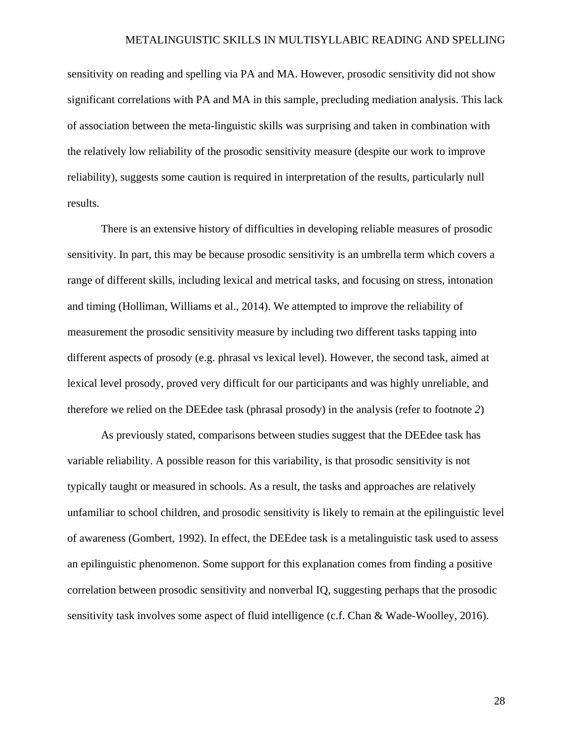sensitivity on reading and spelling via PA and MA. However, prosodic sensitivity did not show significant correlations with PA and MA in this sample, precluding mediation analysis. This lack of association between the meta-linguistic skills was surprising and taken in combination with the relatively low reliability of the prosodic sensitivity measure (despite our work to improve reliability), suggests some caution is required in interpretation of the results, particularly null results.

There is an extensive history of difficulties in developing reliable measures of prosodic sensitivity. In part, this may be because prosodic sensitivity is an umbrella term which covers a range of different skills, including lexical and metrical tasks, and focusing on stress, intonation and timing (Holliman, Williams et al., 2014). We attempted to improve the reliability of measurement the prosodic sensitivity measure by including two different tasks tapping into different aspects of prosody (e.g. phrasal vs lexical level). However, the second task, aimed at lexical level prosody, proved very difficult for our participants and was highly unreliable, and therefore we relied on the DEEdee task (phrasal prosody) in the analysis (refer to footnote *2*)

As previously stated, comparisons between studies suggest that the DEEdee task has variable reliability. A possible reason for this variability, is that prosodic sensitivity is not typically taught or measured in schools. As a result, the tasks and approaches are relatively unfamiliar to school children, and prosodic sensitivity is likely to remain at the epilinguistic level of awareness (Gombert, 1992). In effect, the DEEdee task is a metalinguistic task used to assess an epilinguistic phenomenon. Some support for this explanation comes from finding a positive correlation between prosodic sensitivity and nonverbal IQ, suggesting perhaps that the prosodic sensitivity task involves some aspect of fluid intelligence (c.f. Chan & Wade-Woolley, 2016).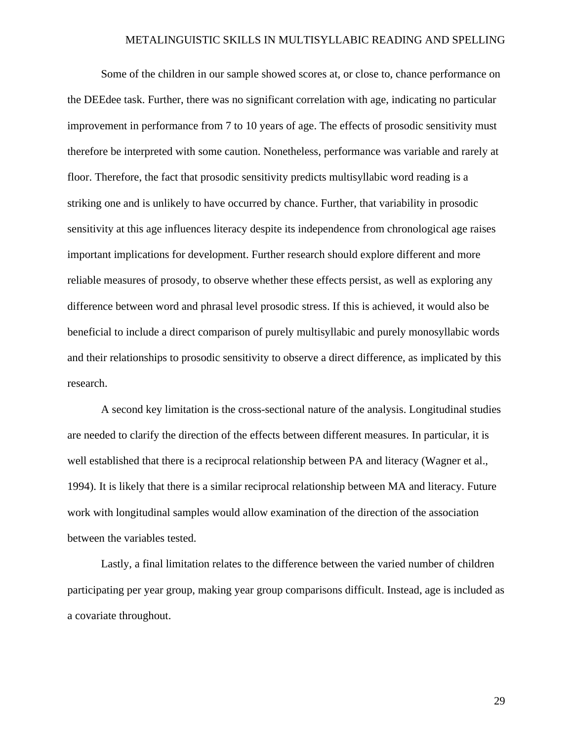Some of the children in our sample showed scores at, or close to, chance performance on the DEEdee task. Further, there was no significant correlation with age, indicating no particular improvement in performance from 7 to 10 years of age. The effects of prosodic sensitivity must therefore be interpreted with some caution. Nonetheless, performance was variable and rarely at floor. Therefore, the fact that prosodic sensitivity predicts multisyllabic word reading is a striking one and is unlikely to have occurred by chance. Further, that variability in prosodic sensitivity at this age influences literacy despite its independence from chronological age raises important implications for development. Further research should explore different and more reliable measures of prosody, to observe whether these effects persist, as well as exploring any difference between word and phrasal level prosodic stress. If this is achieved, it would also be beneficial to include a direct comparison of purely multisyllabic and purely monosyllabic words and their relationships to prosodic sensitivity to observe a direct difference, as implicated by this research.

A second key limitation is the cross-sectional nature of the analysis. Longitudinal studies are needed to clarify the direction of the effects between different measures. In particular, it is well established that there is a reciprocal relationship between PA and literacy (Wagner et al., 1994). It is likely that there is a similar reciprocal relationship between MA and literacy. Future work with longitudinal samples would allow examination of the direction of the association between the variables tested.

Lastly, a final limitation relates to the difference between the varied number of children participating per year group, making year group comparisons difficult. Instead, age is included as a covariate throughout.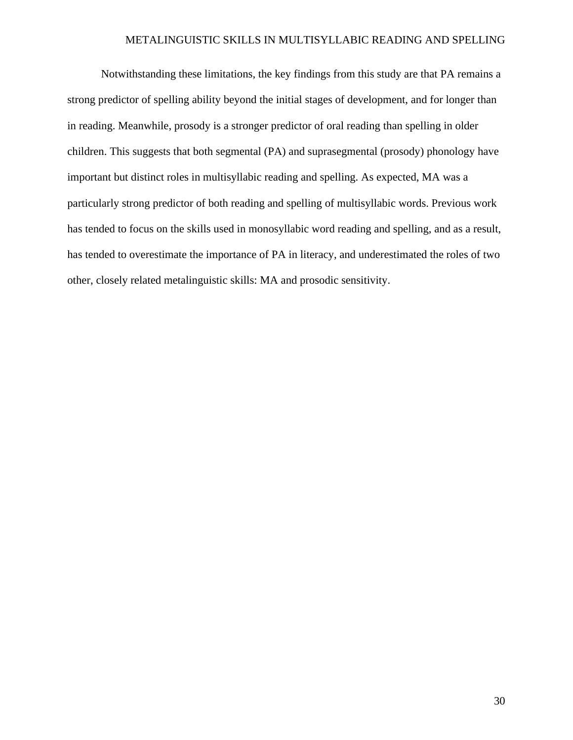Notwithstanding these limitations, the key findings from this study are that PA remains a strong predictor of spelling ability beyond the initial stages of development, and for longer than in reading. Meanwhile, prosody is a stronger predictor of oral reading than spelling in older children. This suggests that both segmental (PA) and suprasegmental (prosody) phonology have important but distinct roles in multisyllabic reading and spelling. As expected, MA was a particularly strong predictor of both reading and spelling of multisyllabic words. Previous work has tended to focus on the skills used in monosyllabic word reading and spelling, and as a result, has tended to overestimate the importance of PA in literacy, and underestimated the roles of two other, closely related metalinguistic skills: MA and prosodic sensitivity.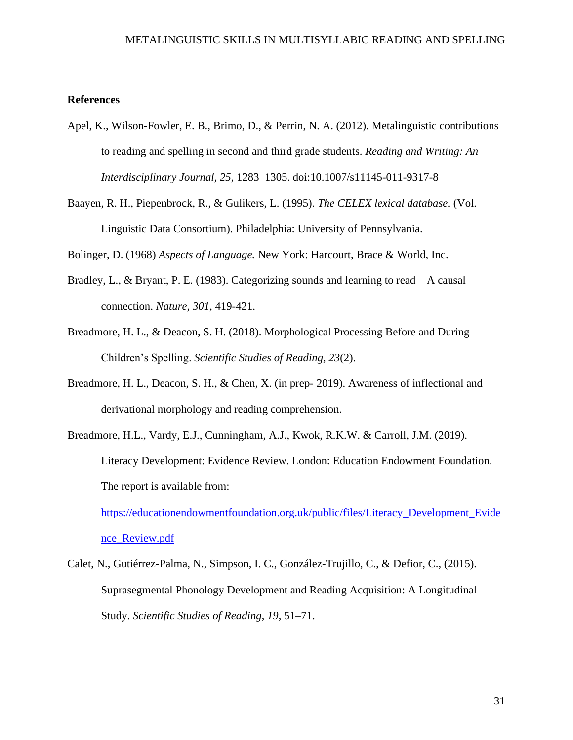# **References**

- Apel, K., Wilson-Fowler, E. B., Brimo, D., & Perrin, N. A. (2012). Metalinguistic contributions to reading and spelling in second and third grade students. *Reading and Writing: An Interdisciplinary Journal, 25*, 1283–1305. doi:10.1007/s11145-011-9317-8
- Baayen, R. H., Piepenbrock, R., & Gulikers, L. (1995). *The CELEX lexical database.* (Vol. Linguistic Data Consortium). Philadelphia: University of Pennsylvania.

Bolinger, D. (1968) *Aspects of Language.* New York: Harcourt, Brace & World, Inc.

- Bradley, L., & Bryant, P. E. (1983). Categorizing sounds and learning to read—A causal connection. *Nature, 301*, 419-421.
- Breadmore, H. L., & Deacon, S. H. (2018). Morphological Processing Before and During Children's Spelling. *Scientific Studies of Reading, 23*(2).
- Breadmore, H. L., Deacon, S. H., & Chen, X. (in prep- 2019). Awareness of inflectional and derivational morphology and reading comprehension.
- Breadmore, H.L., Vardy, E.J., Cunningham, A.J., Kwok, R.K.W. & Carroll, J.M. (2019). Literacy Development: Evidence Review. London: Education Endowment Foundation. The report is available from: [https://educationendowmentfoundation.org.uk/public/files/Literacy\\_Development\\_Evide](https://educationendowmentfoundation.org.uk/public/files/Literacy_Development_Evidence_Review.pdf)

[nce\\_Review.pdf](https://educationendowmentfoundation.org.uk/public/files/Literacy_Development_Evidence_Review.pdf)

Calet, N., Gutiérrez-Palma, N., Simpson, I. C., González-Trujillo, C., & Defior, C., (2015). Suprasegmental Phonology Development and Reading Acquisition: A Longitudinal Study. *Scientific Studies of Reading*, *19*, 51–71.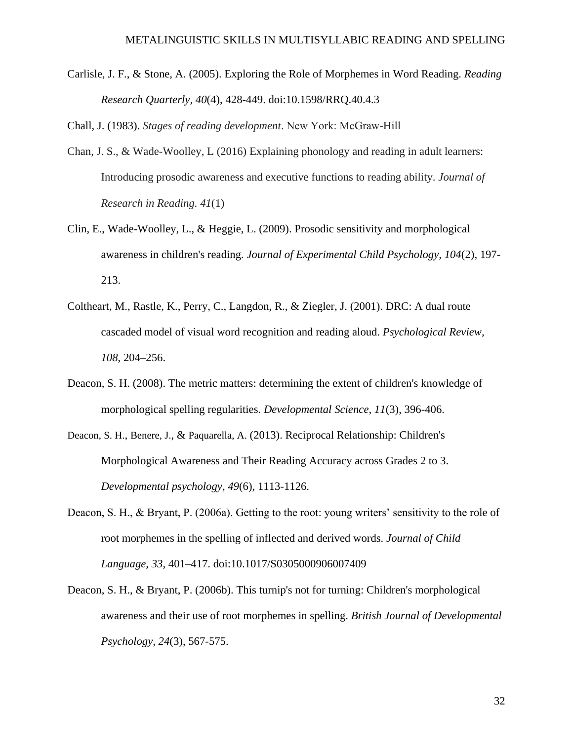Carlisle, J. F., & Stone, A. (2005). Exploring the Role of Morphemes in Word Reading. *Reading Research Quarterly, 40*(4), 428-449. doi:10.1598/RRQ.40.4.3

Chall, J. (1983). *Stages of reading development*. New York: McGraw‐Hill

- Chan, J. S., & Wade-Woolley, L (2016) Explaining phonology and reading in adult learners: Introducing prosodic awareness and executive functions to reading ability. *Journal of Research in Reading. 41*(1)
- Clin, E., Wade-Woolley, L., & Heggie, L. (2009). Prosodic sensitivity and morphological awareness in children's reading. *Journal of Experimental Child Psychology, 104*(2), 197- 213.
- Coltheart, M., Rastle, K., Perry, C., Langdon, R., & Ziegler, J. (2001). DRC: A dual route cascaded model of visual word recognition and reading aloud. *Psychological Review, 108*, 204–256.
- Deacon, S. H. (2008). The metric matters: determining the extent of children's knowledge of morphological spelling regularities. *Developmental Science, 11*(3), 396-406.
- Deacon, S. H., Benere, J., & Paquarella, A. (2013). Reciprocal Relationship: Children's Morphological Awareness and Their Reading Accuracy across Grades 2 to 3. *Developmental psychology, 49*(6), 1113-1126.
- Deacon, S. H., & Bryant, P. (2006a). Getting to the root: young writers' sensitivity to the role of root morphemes in the spelling of inflected and derived words. *Journal of Child Language, 33*, 401–417. doi:10.1017/S0305000906007409
- Deacon, S. H., & Bryant, P. (2006b). This turnip's not for turning: Children's morphological awareness and their use of root morphemes in spelling. *British Journal of Developmental Psychology, 24*(3), 567-575.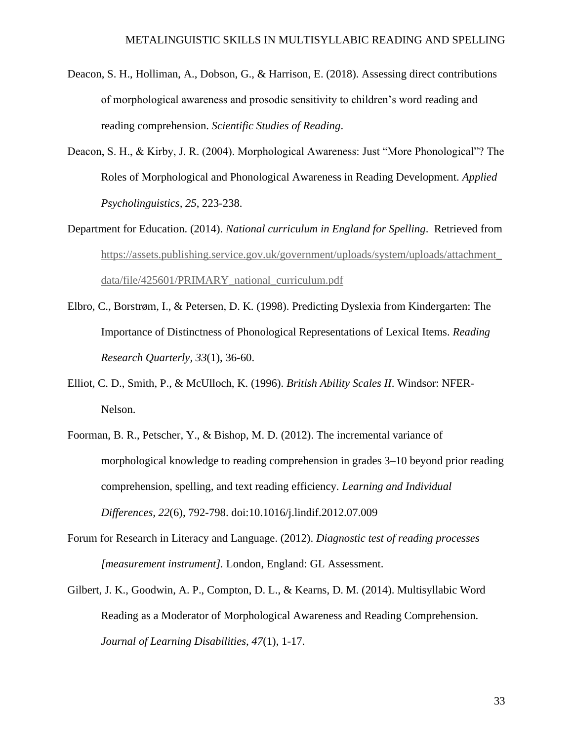- Deacon, S. H., Holliman, A., Dobson, G., & Harrison, E. (2018). Assessing direct contributions of morphological awareness and prosodic sensitivity to children's word reading and reading comprehension. *Scientific Studies of Reading*.
- Deacon, S. H., & Kirby, J. R. (2004). Morphological Awareness: Just "More Phonological"? The Roles of Morphological and Phonological Awareness in Reading Development. *Applied Psycholinguistics, 25*, 223-238.
- Department for Education. (2014). *National curriculum in England for Spelling*. Retrieved from [https://assets.publishing.service.gov.uk/government/uploads/system/uploads/attachment\\_](https://assets.publishing.service.gov.uk/government/uploads/system/uploads/attachment_data/file/425601/PRIMARY_national_curriculum.pdf) [data/file/425601/PRIMARY\\_national\\_curriculum.pdf](https://assets.publishing.service.gov.uk/government/uploads/system/uploads/attachment_data/file/425601/PRIMARY_national_curriculum.pdf)
- Elbro, C., Borstrøm, I., & Petersen, D. K. (1998). Predicting Dyslexia from Kindergarten: The Importance of Distinctness of Phonological Representations of Lexical Items. *Reading Research Quarterly, 33*(1), 36-60.
- Elliot, C. D., Smith, P., & McUlloch, K. (1996). *British Ability Scales II*. Windsor: NFER-Nelson.
- Foorman, B. R., Petscher, Y., & Bishop, M. D. (2012). The incremental variance of morphological knowledge to reading comprehension in grades 3–10 beyond prior reading comprehension, spelling, and text reading efficiency. *Learning and Individual Differences, 22*(6), 792-798. doi:10.1016/j.lindif.2012.07.009
- Forum for Research in Literacy and Language. (2012). *Diagnostic test of reading processes [measurement instrument].* London, England: GL Assessment.
- Gilbert, J. K., Goodwin, A. P., Compton, D. L., & Kearns, D. M. (2014). Multisyllabic Word Reading as a Moderator of Morphological Awareness and Reading Comprehension. *Journal of Learning Disabilities, 47*(1), 1-17.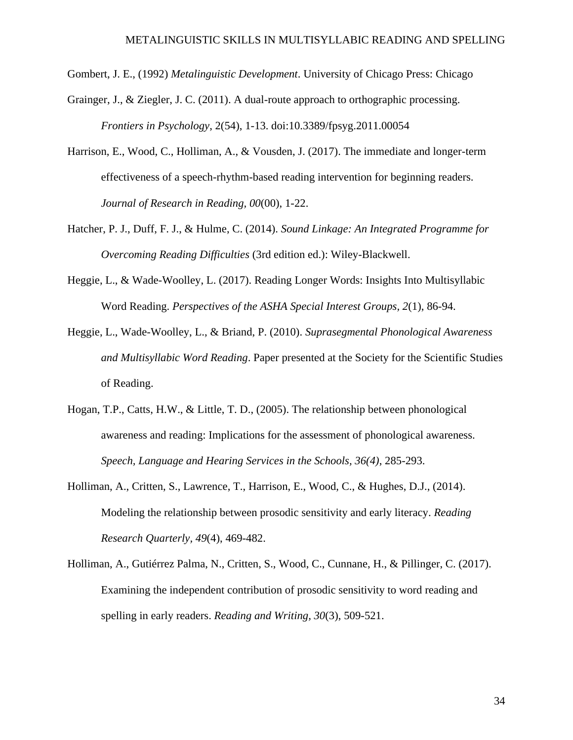- Gombert, J. E., (1992) *Metalinguistic Development*. University of Chicago Press: Chicago
- Grainger, J., & Ziegler, J. C. (2011). A dual-route approach to orthographic processing. *Frontiers in Psychology*, 2(54), 1-13. doi:10.3389/fpsyg.2011.00054
- Harrison, E., Wood, C., Holliman, A., & Vousden, J. (2017). The immediate and longer-term effectiveness of a speech-rhythm-based reading intervention for beginning readers. *Journal of Research in Reading, 00*(00), 1-22.
- Hatcher, P. J., Duff, F. J., & Hulme, C. (2014). *Sound Linkage: An Integrated Programme for Overcoming Reading Difficulties* (3rd edition ed.): Wiley-Blackwell.
- Heggie, L., & Wade-Woolley, L. (2017). Reading Longer Words: Insights Into Multisyllabic Word Reading. *Perspectives of the ASHA Special Interest Groups, 2*(1), 86-94.
- Heggie, L., Wade-Woolley, L., & Briand, P. (2010). *Suprasegmental Phonological Awareness and Multisyllabic Word Reading*. Paper presented at the Society for the Scientific Studies of Reading.
- Hogan, T.P., Catts, H.W., & Little, T. D., (2005). The relationship between phonological awareness and reading: Implications for the assessment of phonological awareness. *Speech, Language and Hearing Services in the Schools, 36(4)*, 285-293.
- Holliman, A., Critten, S., Lawrence, T., Harrison, E., Wood, C., & Hughes, D.J., (2014). Modeling the relationship between prosodic sensitivity and early literacy. *Reading Research Quarterly, 49*(4), 469-482.
- Holliman, A., Gutiérrez Palma, N., Critten, S., Wood, C., Cunnane, H., & Pillinger, C. (2017). Examining the independent contribution of prosodic sensitivity to word reading and spelling in early readers. *Reading and Writing, 30*(3), 509-521.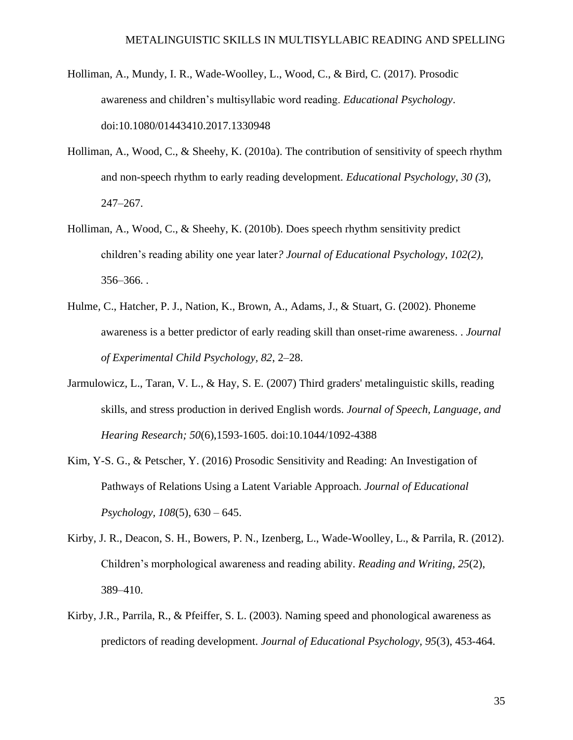- Holliman, A., Mundy, I. R., Wade-Woolley, L., Wood, C., & Bird, C. (2017). Prosodic awareness and children's multisyllabic word reading. *Educational Psychology*. doi:10.1080/01443410.2017.1330948
- Holliman, A., Wood, C., & Sheehy, K. (2010a). The contribution of sensitivity of speech rhythm and non-speech rhythm to early reading development. *Educational Psychology*, *30 (3*), 247–267.
- Holliman, A., Wood, C., & Sheehy, K. (2010b). Does speech rhythm sensitivity predict children's reading ability one year later*? Journal of Educational Psychology, 102(2),* 356–366. .
- Hulme, C., Hatcher, P. J., Nation, K., Brown, A., Adams, J., & Stuart, G. (2002). Phoneme awareness is a better predictor of early reading skill than onset-rime awareness. . *Journal of Experimental Child Psychology, 82*, 2–28.
- Jarmulowicz, L., Taran, V. L., & Hay, S. E. (2007) Third graders' metalinguistic skills, reading skills, and stress production in derived English words. *Journal of Speech, Language, and Hearing Research; 50*(6),1593-1605. doi:10.1044/1092-4388
- Kim, Y-S. G., & Petscher, Y. (2016) Prosodic Sensitivity and Reading: An Investigation of Pathways of Relations Using a Latent Variable Approach. *Journal of Educational Psychology, 108*(5), 630 – 645.
- Kirby, J. R., Deacon, S. H., Bowers, P. N., Izenberg, L., Wade-Woolley, L., & Parrila, R. (2012). Children's morphological awareness and reading ability. *Reading and Writing, 25*(2), 389–410.
- Kirby, J.R., Parrila, R., & Pfeiffer, S. L. (2003). Naming speed and phonological awareness as predictors of reading development. *Journal of Educational Psychology, 95*(3), 453-464.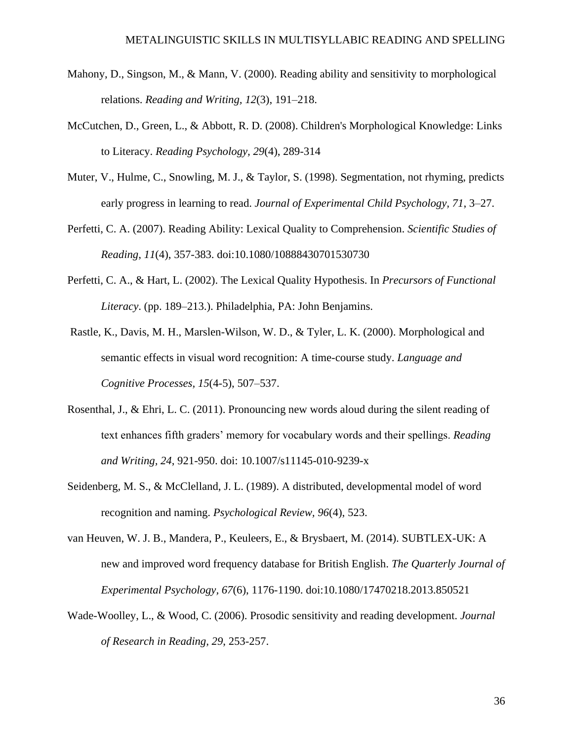- Mahony, D., Singson, M., & Mann, V. (2000). Reading ability and sensitivity to morphological relations. *Reading and Writing, 12*(3), 191–218.
- McCutchen, D., Green, L., & Abbott, R. D. (2008). Children's Morphological Knowledge: Links to Literacy. *Reading Psychology, 29*(4), 289-314
- Muter, V., Hulme, C., Snowling, M. J., & Taylor, S. (1998). Segmentation, not rhyming, predicts early progress in learning to read. *Journal of Experimental Child Psychology, 71*, 3–27.
- Perfetti, C. A. (2007). Reading Ability: Lexical Quality to Comprehension. *Scientific Studies of Reading*, *11*(4), 357-383. doi:10.1080/10888430701530730
- Perfetti, C. A., & Hart, L. (2002). The Lexical Quality Hypothesis. In *Precursors of Functional Literacy*. (pp. 189–213.). Philadelphia, PA: John Benjamins.
- Rastle, K., Davis, M. H., Marslen-Wilson, W. D., & Tyler, L. K. (2000). Morphological and semantic effects in visual word recognition: A time-course study. *Language and Cognitive Processes, 15*(4-5), 507–537.
- Rosenthal, J., & Ehri, L. C. (2011). Pronouncing new words aloud during the silent reading of text enhances fifth graders' memory for vocabulary words and their spellings. *Reading and Writing, 24*, 921-950. doi: 10.1007/s11145-010-9239-x
- Seidenberg, M. S., & McClelland, J. L. (1989). A distributed, developmental model of word recognition and naming. *Psychological Review, 96*(4), 523.
- van Heuven, W. J. B., Mandera, P., Keuleers, E., & Brysbaert, M. (2014). SUBTLEX-UK: A new and improved word frequency database for British English. *The Quarterly Journal of Experimental Psychology, 67*(6), 1176-1190. doi:10.1080/17470218.2013.850521
- Wade-Woolley, L., & Wood, C. (2006). Prosodic sensitivity and reading development. *Journal of Research in Reading, 29*, 253-257.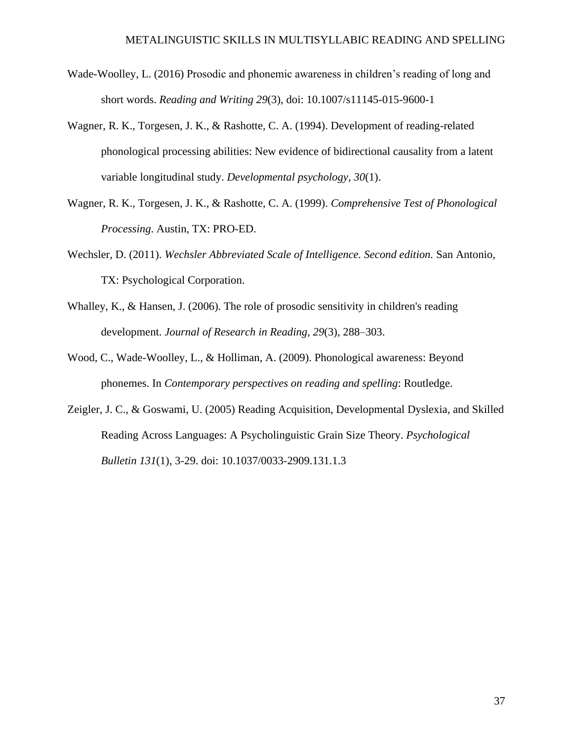- Wade-Woolley, L. (2016) Prosodic and phonemic awareness in children's reading of long and short words. *Reading and Writing 29*(3), doi: 10.1007/s11145-015-9600-1
- Wagner, R. K., Torgesen, J. K., & Rashotte, C. A. (1994). Development of reading-related phonological processing abilities: New evidence of bidirectional causality from a latent variable longitudinal study. *Developmental psychology, 30*(1).
- Wagner, R. K., Torgesen, J. K., & Rashotte, C. A. (1999). *Comprehensive Test of Phonological Processing*. Austin, TX: PRO-ED.
- Wechsler, D. (2011). *Wechsler Abbreviated Scale of Intelligence. Second edition.* San Antonio, TX: Psychological Corporation.
- Whalley, K., & Hansen, J. (2006). The role of prosodic sensitivity in children's reading development. *Journal of Research in Reading, 29*(3), 288–303.
- Wood, C., Wade-Woolley, L., & Holliman, A. (2009). Phonological awareness: Beyond phonemes. In *Contemporary perspectives on reading and spelling*: Routledge.
- Zeigler, J. C., & Goswami, U. (2005) Reading Acquisition, Developmental Dyslexia, and Skilled Reading Across Languages: A Psycholinguistic Grain Size Theory. *Psychological Bulletin 131*(1), 3-29. doi: 10.1037/0033-2909.131.1.3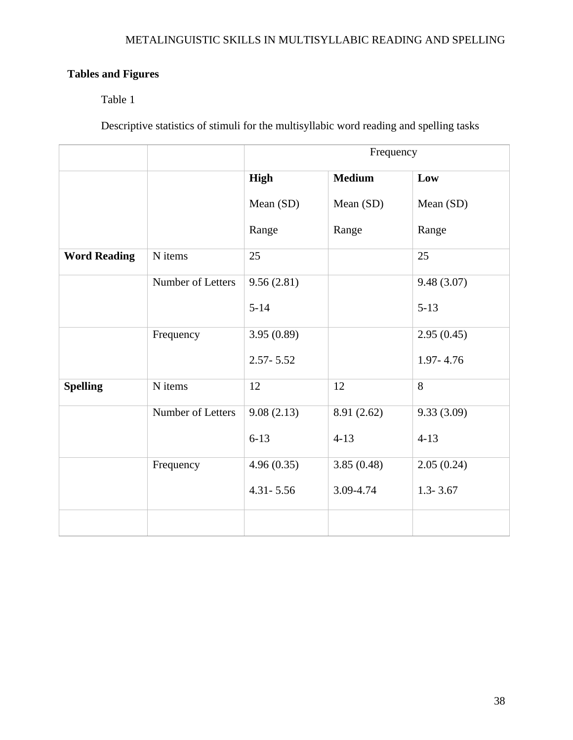# **Tables and Figures**

# Table 1

Descriptive statistics of stimuli for the multisyllabic word reading and spelling tasks

|                     |                   | Frequency                    |             |               |  |  |
|---------------------|-------------------|------------------------------|-------------|---------------|--|--|
|                     |                   | <b>High</b><br><b>Medium</b> |             | Low           |  |  |
|                     |                   | Mean (SD)                    | Mean (SD)   | Mean (SD)     |  |  |
|                     |                   | Range                        | Range       | Range         |  |  |
| <b>Word Reading</b> | N items           | 25                           |             | 25            |  |  |
|                     | Number of Letters | 9.56(2.81)                   |             | 9.48(3.07)    |  |  |
|                     |                   | $5 - 14$                     |             | $5 - 13$      |  |  |
|                     | Frequency         | 3.95(0.89)                   |             | 2.95(0.45)    |  |  |
|                     |                   | $2.57 - 5.52$                |             | $1.97 - 4.76$ |  |  |
| <b>Spelling</b>     | N items           | 12                           | 12          | 8             |  |  |
|                     | Number of Letters | 9.08(2.13)                   | 8.91 (2.62) | 9.33(3.09)    |  |  |
|                     |                   | $6 - 13$                     | $4 - 13$    | $4 - 13$      |  |  |
|                     | Frequency         | 4.96(0.35)                   | 3.85(0.48)  | 2.05(0.24)    |  |  |
|                     |                   | $4.31 - 5.56$                | 3.09-4.74   | $1.3 - 3.67$  |  |  |
|                     |                   |                              |             |               |  |  |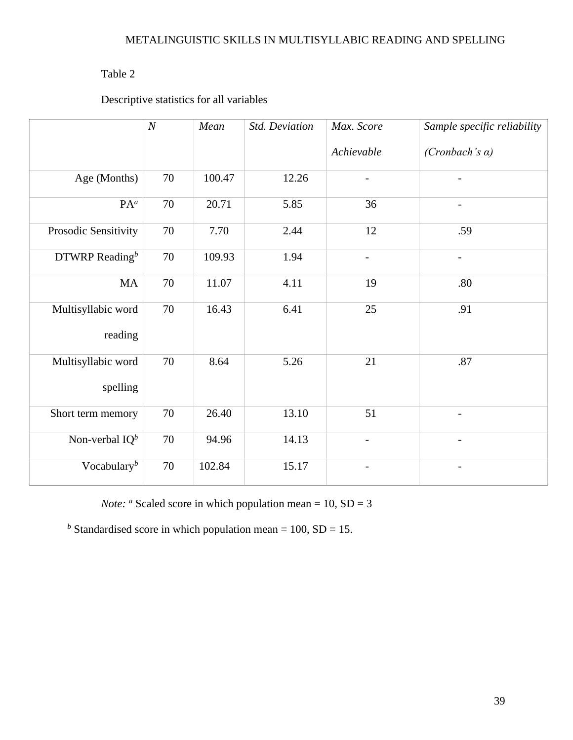# Table 2

Descriptive statistics for all variables

|                                | $\boldsymbol{N}$<br>Mean |        | Std. Deviation | Max. Score               | Sample specific reliability |
|--------------------------------|--------------------------|--------|----------------|--------------------------|-----------------------------|
|                                |                          |        |                | Achievable               | (Cronbach's $\alpha$ )      |
| Age (Months)                   | 70                       | 100.47 | 12.26          |                          |                             |
| $PA^a$                         | 70                       | 20.71  | 5.85           | 36                       | $\overline{\phantom{a}}$    |
| Prosodic Sensitivity           | 70                       | 7.70   | 2.44           | 12                       | .59                         |
| DTWRP Reading $^b$             | 70                       | 109.93 | 1.94           | $\overline{\phantom{0}}$ | $\overline{\phantom{a}}$    |
| MA                             | 70                       | 11.07  | 4.11           | 19                       | .80                         |
| Multisyllabic word<br>reading  | $70\,$                   | 16.43  | 6.41           | 25                       | .91                         |
| Multisyllabic word<br>spelling | 70                       | 8.64   | 5.26           | 21                       | .87                         |
| Short term memory              | 70                       | 26.40  | 13.10          | 51                       | $\overline{\phantom{a}}$    |
| Non-verbal $IQ^b$              | 70                       | 94.96  | 14.13          | $\qquad \qquad -$        | $\overline{\phantom{0}}$    |
| Vocabulary $b$                 | $70\,$                   | 102.84 | 15.17          |                          |                             |

*Note:*  $\alpha$  Scaled score in which population mean = 10, SD = 3

*b* Standardised score in which population mean = 100,  $SD = 15$ .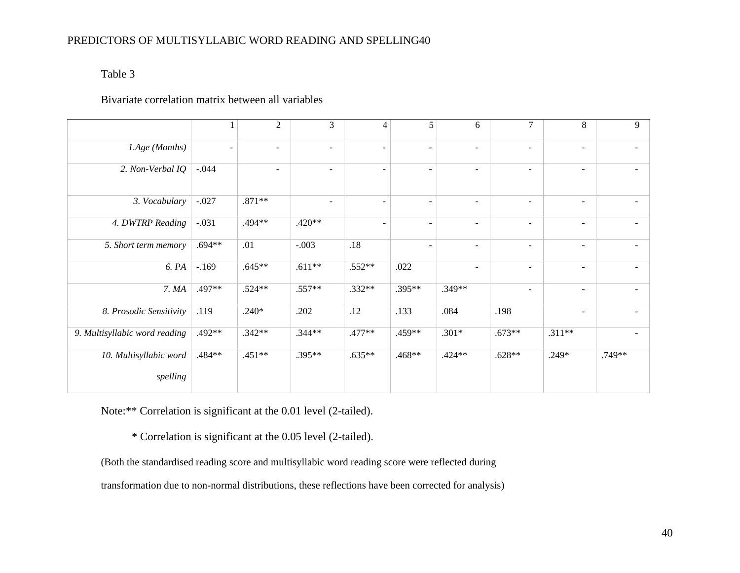# Table 3

# Bivariate correlation matrix between all variables

|                               |                          | $\overline{2}$ | 3        | 4                        | 5                        | 6                        | 7                        | 8                        | 9      |
|-------------------------------|--------------------------|----------------|----------|--------------------------|--------------------------|--------------------------|--------------------------|--------------------------|--------|
| 1.Age (Months)                | $\overline{\phantom{a}}$ | $\blacksquare$ | $\sim$   | $\overline{\phantom{a}}$ | $\overline{a}$           | $\blacksquare$           | $\blacksquare$           | $\blacksquare$           | $\sim$ |
| 2. Non-Verbal IQ              | $-.044$                  | $\blacksquare$ | $\sim$   | $\overline{\phantom{a}}$ | $\overline{\phantom{a}}$ | $\blacksquare$           | $\sim$                   | $\blacksquare$           | $\sim$ |
| 3. Vocabulary                 | $-.027$                  | $.871**$       | ۰        | $\overline{\phantom{a}}$ | $\overline{\phantom{0}}$ | $\overline{\phantom{a}}$ | $\overline{\phantom{a}}$ | $\overline{\phantom{a}}$ |        |
| 4. DWTRP Reading              | $-.031$                  | .494**         | .420**   | $\overline{\phantom{a}}$ | $\overline{\phantom{0}}$ | $\overline{\phantom{a}}$ | $\overline{\phantom{a}}$ | $\overline{\phantom{a}}$ |        |
| 5. Short term memory          | $.694**$                 | .01            | $-.003$  | $.18\,$                  | $\overline{\phantom{a}}$ | $\overline{\phantom{a}}$ | ۰                        | $\overline{\phantom{a}}$ |        |
| 6. PA                         | $-.169$                  | $.645**$       | $.611**$ | $.552**$                 | .022                     | $\blacksquare$           | $\overline{\phantom{a}}$ | $\overline{\phantom{a}}$ |        |
| 7. MA                         | .497**                   | $.524**$       | $.557**$ | $.332**$                 | $.395**$                 | .349**                   | $\overline{\phantom{a}}$ | $\overline{\phantom{a}}$ |        |
| 8. Prosodic Sensitivity       | .119                     | $.240*$        | .202     | .12                      | .133                     | .084                     | .198                     | $\overline{\phantom{a}}$ |        |
| 9. Multisyllabic word reading | .492**                   | $.342**$       | $.344**$ | .477**                   | .459**                   | $.301*$                  | $.673**$                 | $.311**$                 |        |
| 10. Multisyllabic word        | .484**                   | .451**         | $.395**$ | $.635**$                 | .468**                   | .424**                   | $.628**$                 | $.249*$                  | .749** |
| spelling                      |                          |                |          |                          |                          |                          |                          |                          |        |

Note:\*\* Correlation is significant at the 0.01 level (2-tailed).

\* Correlation is significant at the 0.05 level (2-tailed).

(Both the standardised reading score and multisyllabic word reading score were reflected during

transformation due to non-normal distributions, these reflections have been corrected for analysis)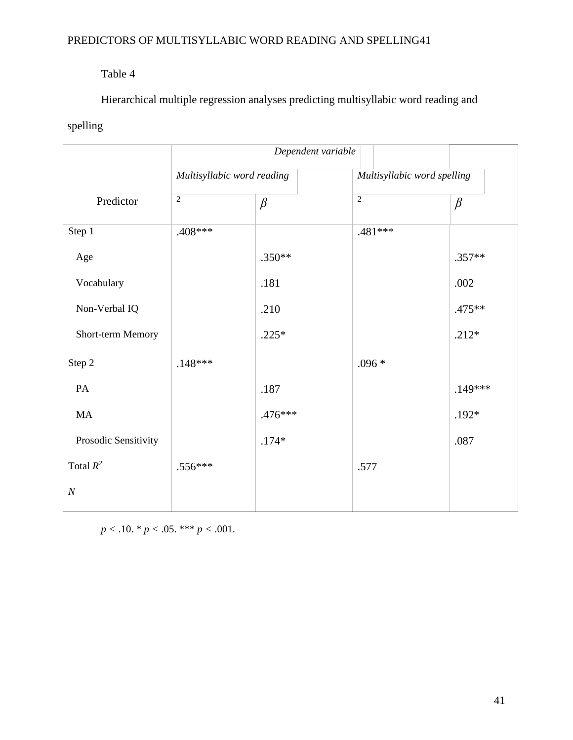# Table 4

Hierarchical multiple regression analyses predicting multisyllabic word reading and

# spelling

|                      | Dependent variable         |          |                             |          |  |  |
|----------------------|----------------------------|----------|-----------------------------|----------|--|--|
|                      | Multisyllabic word reading |          | Multisyllabic word spelling |          |  |  |
| Predictor            | $\sqrt{2}$                 | $\beta$  | $\sqrt{2}$                  | $\beta$  |  |  |
| Step 1               | .408 ***                   |          | $.481***$                   |          |  |  |
| Age                  |                            | $.350**$ |                             | $.357**$ |  |  |
| Vocabulary           |                            | .181     |                             | .002     |  |  |
| Non-Verbal IQ        |                            | .210     |                             | .475**   |  |  |
| Short-term Memory    |                            | $.225*$  |                             | $.212*$  |  |  |
| Step 2               | $.148***$                  |          | $.096*$                     |          |  |  |
| PA                   |                            | .187     |                             | .149***  |  |  |
| MA                   |                            | .476***  |                             | $.192*$  |  |  |
| Prosodic Sensitivity |                            | $.174*$  |                             | .087     |  |  |
| Total $R^2$          | $.556***$                  |          | .577                        |          |  |  |
| $\cal N$             |                            |          |                             |          |  |  |

 $p < .10.$  \*  $p < .05.$  \*\*\*  $p < .001.$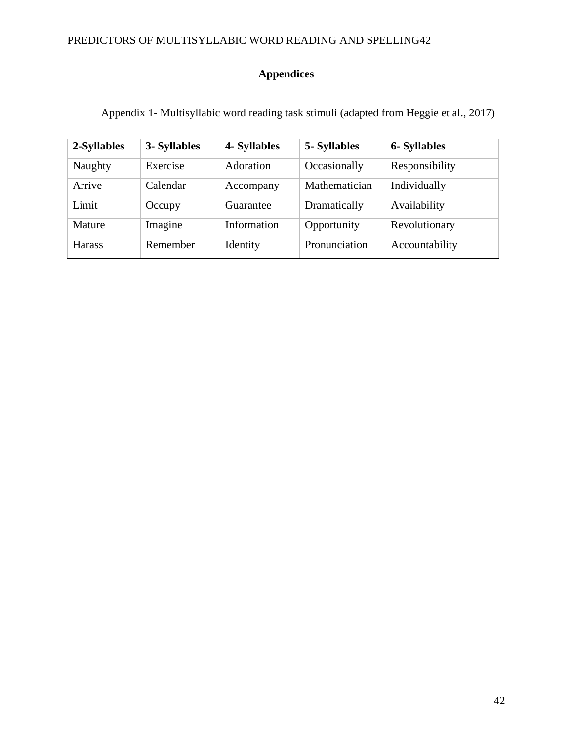# **Appendices**

Appendix 1- Multisyllabic word reading task stimuli (adapted from Heggie et al., 2017)

| 2-Syllables   | 3- Syllables | 4- Syllables | 5- Syllables  | <b>6-Syllables</b> |
|---------------|--------------|--------------|---------------|--------------------|
| Naughty       | Exercise     | Adoration    | Occasionally  | Responsibility     |
| Arrive        | Calendar     | Accompany    | Mathematician | Individually       |
| Limit         | Occupy       | Guarantee    | Dramatically  | Availability       |
| Mature        | Imagine      | Information  | Opportunity   | Revolutionary      |
| <b>Harass</b> | Remember     | Identity     | Pronunciation | Accountability     |